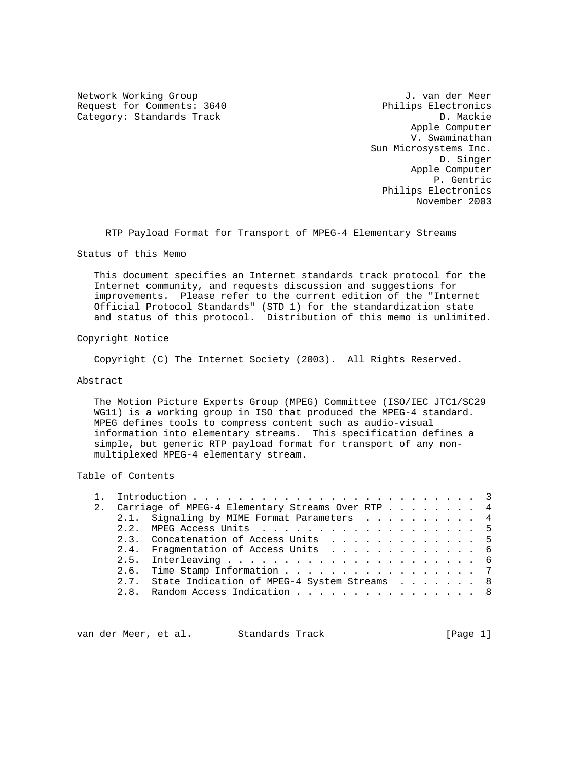Network Working Group J. van der Meer Request for Comments: 3640 Philips Electronics<br>
Category: Standards Track D. Mackie Category: Standards Track

 Apple Computer V. Swaminathan Sun Microsystems Inc. D. Singer Apple Computer P. Gentric Philips Electronics November 2003

RTP Payload Format for Transport of MPEG-4 Elementary Streams

Status of this Memo

 This document specifies an Internet standards track protocol for the Internet community, and requests discussion and suggestions for improvements. Please refer to the current edition of the "Internet Official Protocol Standards" (STD 1) for the standardization state and status of this protocol. Distribution of this memo is unlimited.

Copyright Notice

Copyright (C) The Internet Society (2003). All Rights Reserved.

Abstract

 The Motion Picture Experts Group (MPEG) Committee (ISO/IEC JTC1/SC29 WG11) is a working group in ISO that produced the MPEG-4 standard. MPEG defines tools to compress content such as audio-visual information into elementary streams. This specification defines a simple, but generic RTP payload format for transport of any non multiplexed MPEG-4 elementary stream.

Table of Contents

|  | 2. Carriage of MPEG-4 Elementary Streams Over RTP 4 |  |  |  |  |  |
|--|-----------------------------------------------------|--|--|--|--|--|
|  | 2.1. Signaling by MIME Format Parameters 4          |  |  |  |  |  |
|  | 2.2. MPEG Access Units 5                            |  |  |  |  |  |
|  | 2.3. Concatenation of Access Units 5                |  |  |  |  |  |
|  | 2.4. Fragmentation of Access Units 6                |  |  |  |  |  |
|  |                                                     |  |  |  |  |  |
|  | 2.6. Time Stamp Information 7                       |  |  |  |  |  |
|  | 2.7. State Indication of MPEG-4 System Streams 8    |  |  |  |  |  |
|  | 2.8. Random Access Indication 8                     |  |  |  |  |  |
|  |                                                     |  |  |  |  |  |

van der Meer, et al. Standards Track [Page 1]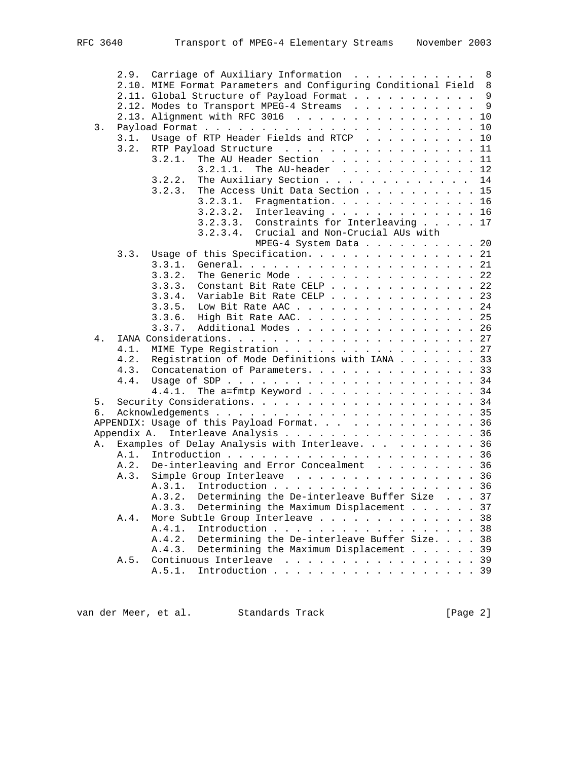|    |      | 2.9. Carriage of Auxiliary Information 8                         |  |   |
|----|------|------------------------------------------------------------------|--|---|
|    |      | 2.10. MIME Format Parameters and Configuring Conditional Field 8 |  |   |
|    |      | 2.11. Global Structure of Payload Format 9                       |  |   |
|    |      | 2.12. Modes to Transport MPEG-4 Streams                          |  | 9 |
|    |      | 2.13. Alignment with RFC 3016 10                                 |  |   |
| 3. |      |                                                                  |  |   |
|    | 3.1. | Usage of RTP Header Fields and RTCP 10                           |  |   |
|    |      | 3.2. RTP Payload Structure $\ldots$ 11                           |  |   |
|    |      | The AU Header Section 11<br>3.2.1.                               |  |   |
|    |      | 3.2.1.1.<br>The AU-header $\ldots$ , $\ldots$ , $\ldots$ , $12$  |  |   |
|    |      | The Auxiliary Section 14<br>3.2.2.                               |  |   |
|    |      | The Access Unit Data Section 15<br>3.2.3.                        |  |   |
|    |      | 3.2.3.1.<br>Fragmentation. 16                                    |  |   |
|    |      | 3.2.3.2. Interleaving 16                                         |  |   |
|    |      | 3.2.3.3. Constraints for Interleaving 17                         |  |   |
|    |      | 3.2.3.4. Crucial and Non-Crucial AUs with                        |  |   |
|    |      | MPEG-4 System Data 20                                            |  |   |
|    | 3.3. | Usage of this Specification. 21                                  |  |   |
|    |      | 3.3.1.                                                           |  |   |
|    |      | The Generic Mode 22<br>3.3.2.                                    |  |   |
|    |      | 3.3.3.<br>Constant Bit Rate CELP 22                              |  |   |
|    |      | 3.3.4.<br>Variable Bit Rate CELP 23                              |  |   |
|    |      | Low Bit Rate AAC 24<br>3.3.5.                                    |  |   |
|    |      | High Bit Rate AAC. 25<br>3.3.6.                                  |  |   |
|    |      | Additional Modes 26<br>3.3.7.                                    |  |   |
| 4. |      |                                                                  |  |   |
|    | 4.1. | MIME Type Registration 27                                        |  |   |
|    | 4.2. | Registration of Mode Definitions with IANA 33                    |  |   |
|    | 4.3. | Concatenation of Parameters. 33                                  |  |   |
|    | 4.4. |                                                                  |  |   |
|    |      | The a=fmtp Keyword 34<br>4.4.1.                                  |  |   |
| 5. |      |                                                                  |  |   |
| б. |      |                                                                  |  |   |
|    |      | APPENDIX: Usage of this Payload Format. 36                       |  |   |
|    |      | Appendix A. Interleave Analysis 36                               |  |   |
| Α. |      | Examples of Delay Analysis with Interleave. 36                   |  |   |
|    | A.1. |                                                                  |  |   |
|    | A.2. | De-interleaving and Error Concealment 36                         |  |   |
|    |      | A.3. Simple Group Interleave 36                                  |  |   |
|    |      | A.3.1. Introduction 36                                           |  |   |
|    |      | A.3.2. Determining the De-interleave Buffer Size 37              |  |   |
|    |      | Determining the Maximum Displacement 37<br>A.3.3.                |  |   |
|    | A.4. | More Subtle Group Interleave 38                                  |  |   |
|    |      | A.4.1.<br>Introduction 38                                        |  |   |
|    |      | A.4.2.<br>Determining the De-interleave Buffer Size. 38          |  |   |
|    |      | A.4.3.<br>Determining the Maximum Displacement 39                |  |   |
|    | A.5. | Continuous Interleave 39                                         |  |   |
|    |      | Introduction 39<br>A.5.1.                                        |  |   |
|    |      |                                                                  |  |   |

van der Meer, et al. Standards Track [Page 2]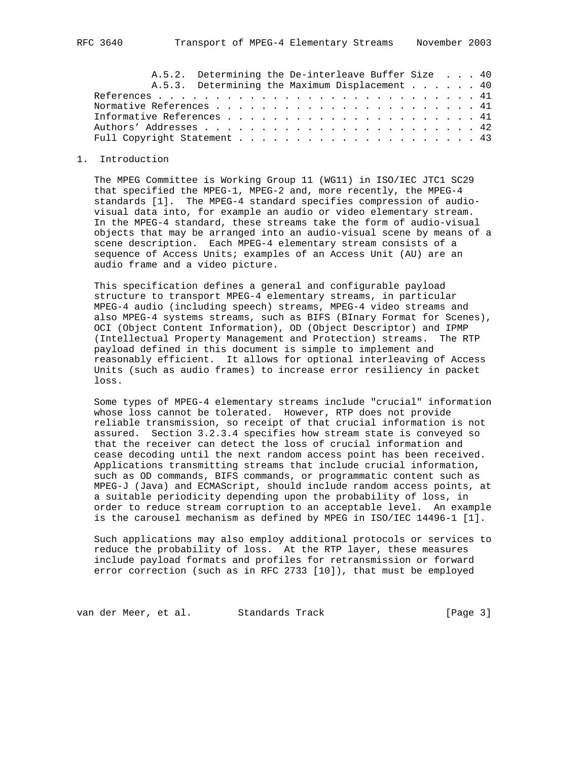|  | A.5.2. Determining the De-interleave Buffer Size 40 |  |  |  |  |  |  |  |  |  |  |  |  |
|--|-----------------------------------------------------|--|--|--|--|--|--|--|--|--|--|--|--|
|  | A.5.3. Determining the Maximum Displacement 40      |  |  |  |  |  |  |  |  |  |  |  |  |
|  |                                                     |  |  |  |  |  |  |  |  |  |  |  |  |
|  |                                                     |  |  |  |  |  |  |  |  |  |  |  |  |
|  |                                                     |  |  |  |  |  |  |  |  |  |  |  |  |
|  |                                                     |  |  |  |  |  |  |  |  |  |  |  |  |
|  |                                                     |  |  |  |  |  |  |  |  |  |  |  |  |

#### 1. Introduction

 The MPEG Committee is Working Group 11 (WG11) in ISO/IEC JTC1 SC29 that specified the MPEG-1, MPEG-2 and, more recently, the MPEG-4 standards [1]. The MPEG-4 standard specifies compression of audio visual data into, for example an audio or video elementary stream. In the MPEG-4 standard, these streams take the form of audio-visual objects that may be arranged into an audio-visual scene by means of a scene description. Each MPEG-4 elementary stream consists of a sequence of Access Units; examples of an Access Unit (AU) are an audio frame and a video picture.

 This specification defines a general and configurable payload structure to transport MPEG-4 elementary streams, in particular MPEG-4 audio (including speech) streams, MPEG-4 video streams and also MPEG-4 systems streams, such as BIFS (BInary Format for Scenes), OCI (Object Content Information), OD (Object Descriptor) and IPMP (Intellectual Property Management and Protection) streams. The RTP payload defined in this document is simple to implement and reasonably efficient. It allows for optional interleaving of Access Units (such as audio frames) to increase error resiliency in packet loss.

 Some types of MPEG-4 elementary streams include "crucial" information whose loss cannot be tolerated. However, RTP does not provide reliable transmission, so receipt of that crucial information is not assured. Section 3.2.3.4 specifies how stream state is conveyed so that the receiver can detect the loss of crucial information and cease decoding until the next random access point has been received. Applications transmitting streams that include crucial information, such as OD commands, BIFS commands, or programmatic content such as MPEG-J (Java) and ECMAScript, should include random access points, at a suitable periodicity depending upon the probability of loss, in order to reduce stream corruption to an acceptable level. An example is the carousel mechanism as defined by MPEG in ISO/IEC 14496-1 [1].

 Such applications may also employ additional protocols or services to reduce the probability of loss. At the RTP layer, these measures include payload formats and profiles for retransmission or forward error correction (such as in RFC 2733 [10]), that must be employed

van der Meer, et al. Standards Track [Page 3]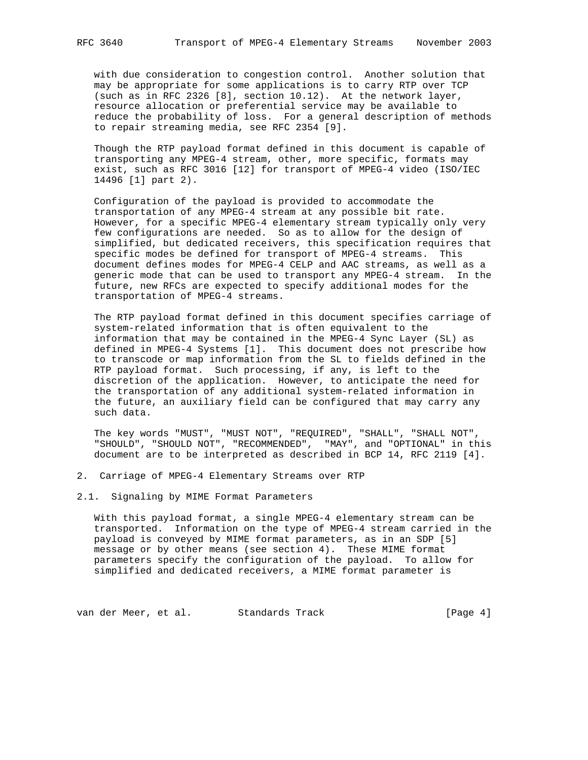with due consideration to congestion control. Another solution that may be appropriate for some applications is to carry RTP over TCP (such as in RFC 2326 [8], section 10.12). At the network layer, resource allocation or preferential service may be available to reduce the probability of loss. For a general description of methods to repair streaming media, see RFC 2354 [9].

 Though the RTP payload format defined in this document is capable of transporting any MPEG-4 stream, other, more specific, formats may exist, such as RFC 3016 [12] for transport of MPEG-4 video (ISO/IEC 14496 [1] part 2).

 Configuration of the payload is provided to accommodate the transportation of any MPEG-4 stream at any possible bit rate. However, for a specific MPEG-4 elementary stream typically only very few configurations are needed. So as to allow for the design of simplified, but dedicated receivers, this specification requires that specific modes be defined for transport of MPEG-4 streams. This document defines modes for MPEG-4 CELP and AAC streams, as well as a generic mode that can be used to transport any MPEG-4 stream. In the future, new RFCs are expected to specify additional modes for the transportation of MPEG-4 streams.

 The RTP payload format defined in this document specifies carriage of system-related information that is often equivalent to the information that may be contained in the MPEG-4 Sync Layer (SL) as defined in MPEG-4 Systems [1]. This document does not prescribe how to transcode or map information from the SL to fields defined in the RTP payload format. Such processing, if any, is left to the discretion of the application. However, to anticipate the need for the transportation of any additional system-related information in the future, an auxiliary field can be configured that may carry any such data.

 The key words "MUST", "MUST NOT", "REQUIRED", "SHALL", "SHALL NOT", "SHOULD", "SHOULD NOT", "RECOMMENDED", "MAY", and "OPTIONAL" in this document are to be interpreted as described in BCP 14, RFC 2119 [4].

- 2. Carriage of MPEG-4 Elementary Streams over RTP
- 2.1. Signaling by MIME Format Parameters

 With this payload format, a single MPEG-4 elementary stream can be transported. Information on the type of MPEG-4 stream carried in the payload is conveyed by MIME format parameters, as in an SDP [5] message or by other means (see section 4). These MIME format parameters specify the configuration of the payload. To allow for simplified and dedicated receivers, a MIME format parameter is

van der Meer, et al. Standards Track [Page 4]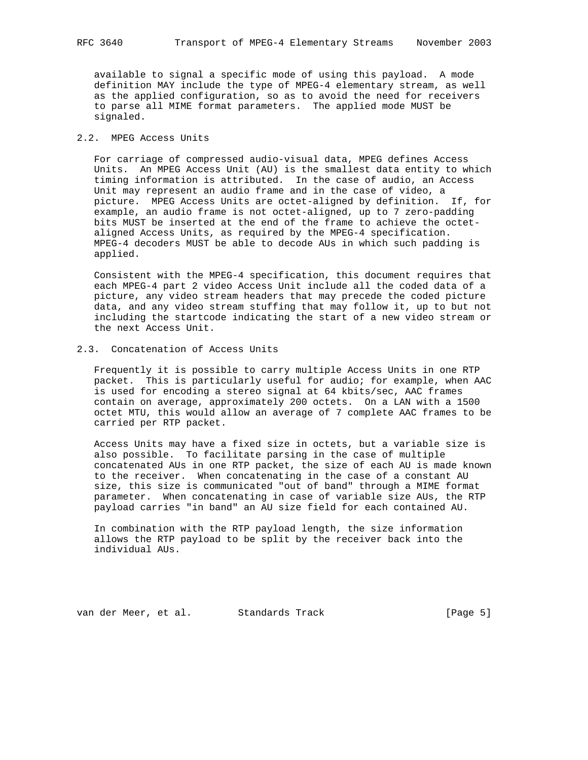available to signal a specific mode of using this payload. A mode definition MAY include the type of MPEG-4 elementary stream, as well as the applied configuration, so as to avoid the need for receivers to parse all MIME format parameters. The applied mode MUST be signaled.

# 2.2. MPEG Access Units

 For carriage of compressed audio-visual data, MPEG defines Access Units. An MPEG Access Unit (AU) is the smallest data entity to which timing information is attributed. In the case of audio, an Access Unit may represent an audio frame and in the case of video, a picture. MPEG Access Units are octet-aligned by definition. If, for example, an audio frame is not octet-aligned, up to 7 zero-padding bits MUST be inserted at the end of the frame to achieve the octet aligned Access Units, as required by the MPEG-4 specification. MPEG-4 decoders MUST be able to decode AUs in which such padding is applied.

 Consistent with the MPEG-4 specification, this document requires that each MPEG-4 part 2 video Access Unit include all the coded data of a picture, any video stream headers that may precede the coded picture data, and any video stream stuffing that may follow it, up to but not including the startcode indicating the start of a new video stream or the next Access Unit.

# 2.3. Concatenation of Access Units

 Frequently it is possible to carry multiple Access Units in one RTP packet. This is particularly useful for audio; for example, when AAC is used for encoding a stereo signal at 64 kbits/sec, AAC frames contain on average, approximately 200 octets. On a LAN with a 1500 octet MTU, this would allow an average of 7 complete AAC frames to be carried per RTP packet.

 Access Units may have a fixed size in octets, but a variable size is also possible. To facilitate parsing in the case of multiple concatenated AUs in one RTP packet, the size of each AU is made known to the receiver. When concatenating in the case of a constant AU size, this size is communicated "out of band" through a MIME format parameter. When concatenating in case of variable size AUs, the RTP payload carries "in band" an AU size field for each contained AU.

 In combination with the RTP payload length, the size information allows the RTP payload to be split by the receiver back into the individual AUs.

van der Meer, et al. Standards Track [Page 5]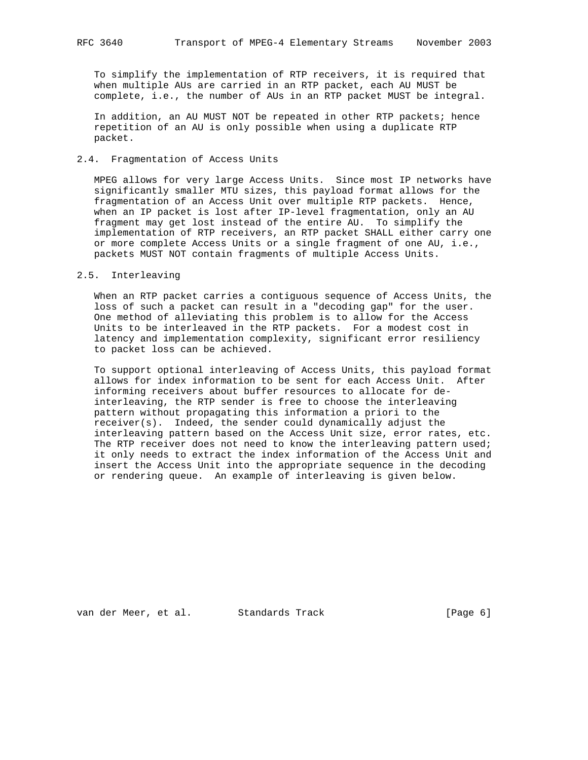To simplify the implementation of RTP receivers, it is required that when multiple AUs are carried in an RTP packet, each AU MUST be complete, i.e., the number of AUs in an RTP packet MUST be integral.

 In addition, an AU MUST NOT be repeated in other RTP packets; hence repetition of an AU is only possible when using a duplicate RTP packet.

## 2.4. Fragmentation of Access Units

 MPEG allows for very large Access Units. Since most IP networks have significantly smaller MTU sizes, this payload format allows for the fragmentation of an Access Unit over multiple RTP packets. Hence, when an IP packet is lost after IP-level fragmentation, only an AU fragment may get lost instead of the entire AU. To simplify the implementation of RTP receivers, an RTP packet SHALL either carry one or more complete Access Units or a single fragment of one AU, i.e., packets MUST NOT contain fragments of multiple Access Units.

#### 2.5. Interleaving

 When an RTP packet carries a contiguous sequence of Access Units, the loss of such a packet can result in a "decoding gap" for the user. One method of alleviating this problem is to allow for the Access Units to be interleaved in the RTP packets. For a modest cost in latency and implementation complexity, significant error resiliency to packet loss can be achieved.

 To support optional interleaving of Access Units, this payload format allows for index information to be sent for each Access Unit. After informing receivers about buffer resources to allocate for de interleaving, the RTP sender is free to choose the interleaving pattern without propagating this information a priori to the receiver(s). Indeed, the sender could dynamically adjust the interleaving pattern based on the Access Unit size, error rates, etc. The RTP receiver does not need to know the interleaving pattern used; it only needs to extract the index information of the Access Unit and insert the Access Unit into the appropriate sequence in the decoding or rendering queue. An example of interleaving is given below.

van der Meer, et al. Standards Track [Page 6]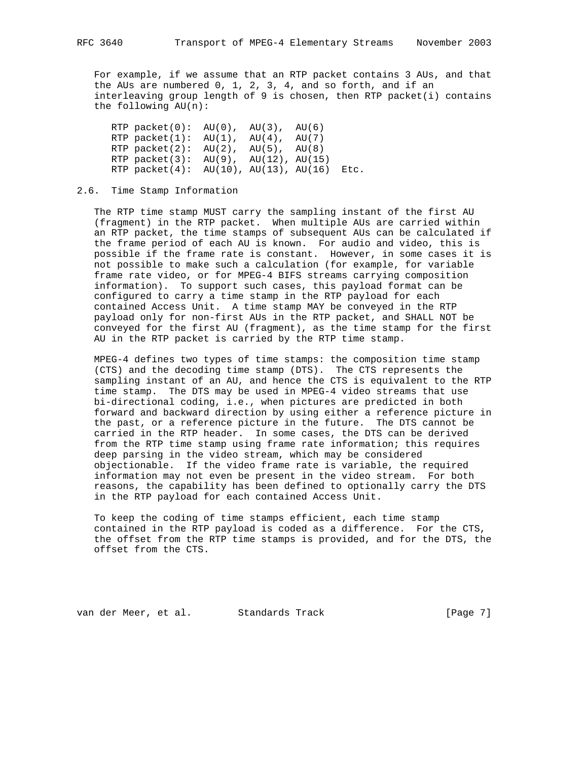For example, if we assume that an RTP packet contains 3 AUs, and that the AUs are numbered 0, 1, 2, 3, 4, and so forth, and if an interleaving group length of 9 is chosen, then RTP packet(i) contains the following AU(n):

RTP  $packet(0): AU(0), AU(3), AU(6)$ RTP packet $(1)$ : AU $(1)$ , AU $(4)$ , AU $(7)$ RTP packet(2):  $AU(2)$ ,  $AU(5)$ ,  $AU(8)$ RTP packet(3):  $AU(9)$ ,  $AU(12)$ ,  $AU(15)$ RTP packet(4): AU(10), AU(13), AU(16) Etc.

### 2.6. Time Stamp Information

 The RTP time stamp MUST carry the sampling instant of the first AU (fragment) in the RTP packet. When multiple AUs are carried within an RTP packet, the time stamps of subsequent AUs can be calculated if the frame period of each AU is known. For audio and video, this is possible if the frame rate is constant. However, in some cases it is not possible to make such a calculation (for example, for variable frame rate video, or for MPEG-4 BIFS streams carrying composition information). To support such cases, this payload format can be configured to carry a time stamp in the RTP payload for each contained Access Unit. A time stamp MAY be conveyed in the RTP payload only for non-first AUs in the RTP packet, and SHALL NOT be conveyed for the first AU (fragment), as the time stamp for the first AU in the RTP packet is carried by the RTP time stamp.

 MPEG-4 defines two types of time stamps: the composition time stamp (CTS) and the decoding time stamp (DTS). The CTS represents the sampling instant of an AU, and hence the CTS is equivalent to the RTP time stamp. The DTS may be used in MPEG-4 video streams that use bi-directional coding, i.e., when pictures are predicted in both forward and backward direction by using either a reference picture in the past, or a reference picture in the future. The DTS cannot be carried in the RTP header. In some cases, the DTS can be derived from the RTP time stamp using frame rate information; this requires deep parsing in the video stream, which may be considered objectionable. If the video frame rate is variable, the required information may not even be present in the video stream. For both reasons, the capability has been defined to optionally carry the DTS in the RTP payload for each contained Access Unit.

 To keep the coding of time stamps efficient, each time stamp contained in the RTP payload is coded as a difference. For the CTS, the offset from the RTP time stamps is provided, and for the DTS, the offset from the CTS.

van der Meer, et al. Standards Track [Page 7]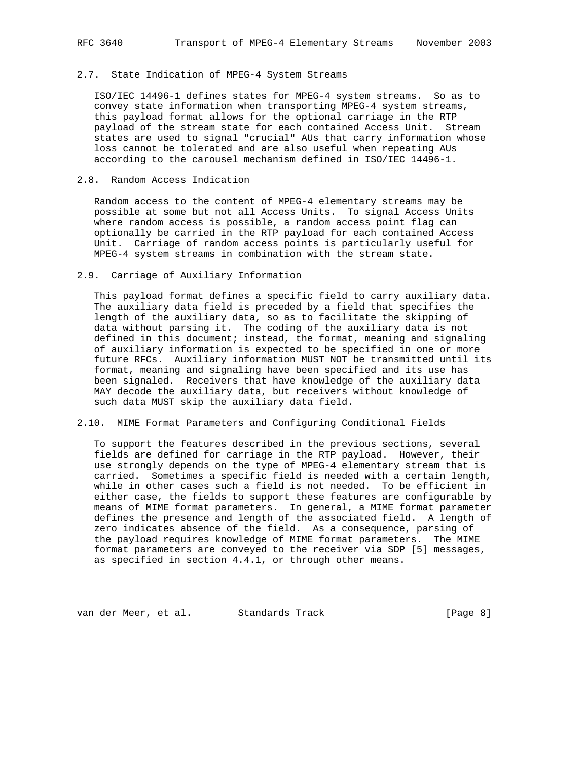# 2.7. State Indication of MPEG-4 System Streams

 ISO/IEC 14496-1 defines states for MPEG-4 system streams. So as to convey state information when transporting MPEG-4 system streams, this payload format allows for the optional carriage in the RTP payload of the stream state for each contained Access Unit. Stream states are used to signal "crucial" AUs that carry information whose loss cannot be tolerated and are also useful when repeating AUs according to the carousel mechanism defined in ISO/IEC 14496-1.

## 2.8. Random Access Indication

 Random access to the content of MPEG-4 elementary streams may be possible at some but not all Access Units. To signal Access Units where random access is possible, a random access point flag can optionally be carried in the RTP payload for each contained Access Unit. Carriage of random access points is particularly useful for MPEG-4 system streams in combination with the stream state.

# 2.9. Carriage of Auxiliary Information

 This payload format defines a specific field to carry auxiliary data. The auxiliary data field is preceded by a field that specifies the length of the auxiliary data, so as to facilitate the skipping of data without parsing it. The coding of the auxiliary data is not defined in this document; instead, the format, meaning and signaling of auxiliary information is expected to be specified in one or more future RFCs. Auxiliary information MUST NOT be transmitted until its format, meaning and signaling have been specified and its use has been signaled. Receivers that have knowledge of the auxiliary data MAY decode the auxiliary data, but receivers without knowledge of such data MUST skip the auxiliary data field.

## 2.10. MIME Format Parameters and Configuring Conditional Fields

 To support the features described in the previous sections, several fields are defined for carriage in the RTP payload. However, their use strongly depends on the type of MPEG-4 elementary stream that is carried. Sometimes a specific field is needed with a certain length, while in other cases such a field is not needed. To be efficient in either case, the fields to support these features are configurable by means of MIME format parameters. In general, a MIME format parameter defines the presence and length of the associated field. A length of zero indicates absence of the field. As a consequence, parsing of the payload requires knowledge of MIME format parameters. The MIME format parameters are conveyed to the receiver via SDP [5] messages, as specified in section 4.4.1, or through other means.

van der Meer, et al. Standards Track (Page 8)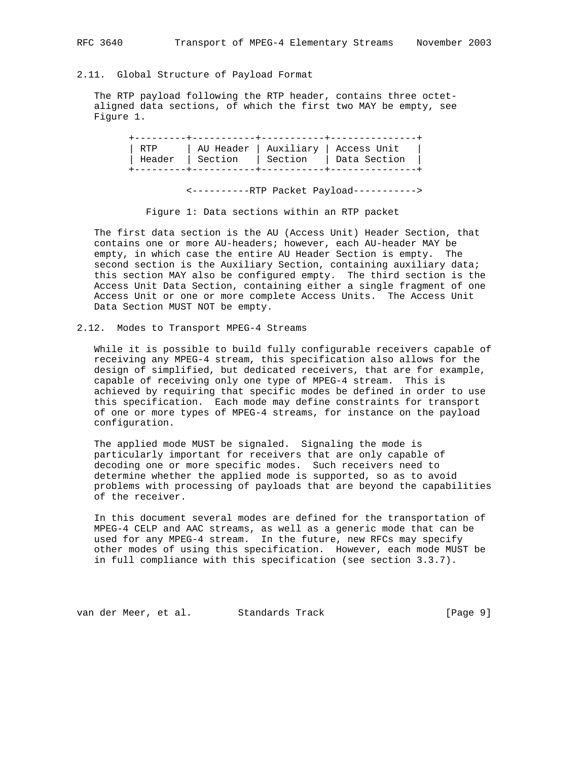# 2.11. Global Structure of Payload Format

 The RTP payload following the RTP header, contains three octet aligned data sections, of which the first two MAY be empty, see Figure 1.

|  | RTP   AU Header   Auxiliary   Access Unit |  |
|--|-------------------------------------------|--|
|  | Header   Section   Section   Data Section |  |
|  |                                           |  |
|  |                                           |  |

<----------RTP Packet Payload----------->

Figure 1: Data sections within an RTP packet

 The first data section is the AU (Access Unit) Header Section, that contains one or more AU-headers; however, each AU-header MAY be empty, in which case the entire AU Header Section is empty. The second section is the Auxiliary Section, containing auxiliary data; this section MAY also be configured empty. The third section is the Access Unit Data Section, containing either a single fragment of one Access Unit or one or more complete Access Units. The Access Unit Data Section MUST NOT be empty.

2.12. Modes to Transport MPEG-4 Streams

 While it is possible to build fully configurable receivers capable of receiving any MPEG-4 stream, this specification also allows for the design of simplified, but dedicated receivers, that are for example, capable of receiving only one type of MPEG-4 stream. This is achieved by requiring that specific modes be defined in order to use this specification. Each mode may define constraints for transport of one or more types of MPEG-4 streams, for instance on the payload configuration.

 The applied mode MUST be signaled. Signaling the mode is particularly important for receivers that are only capable of decoding one or more specific modes. Such receivers need to determine whether the applied mode is supported, so as to avoid problems with processing of payloads that are beyond the capabilities of the receiver.

 In this document several modes are defined for the transportation of MPEG-4 CELP and AAC streams, as well as a generic mode that can be used for any MPEG-4 stream. In the future, new RFCs may specify other modes of using this specification. However, each mode MUST be in full compliance with this specification (see section 3.3.7).

van der Meer, et al. Standards Track [Page 9]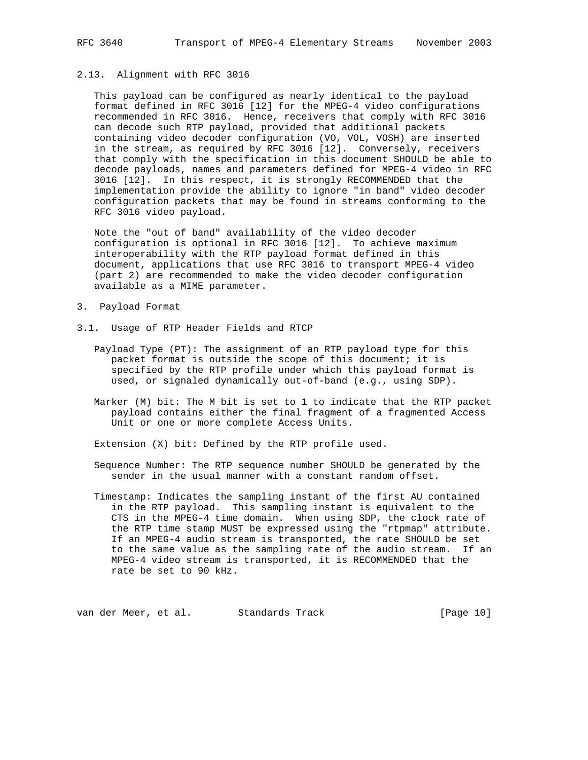## 2.13. Alignment with RFC 3016

 This payload can be configured as nearly identical to the payload format defined in RFC 3016 [12] for the MPEG-4 video configurations recommended in RFC 3016. Hence, receivers that comply with RFC 3016 can decode such RTP payload, provided that additional packets containing video decoder configuration (VO, VOL, VOSH) are inserted in the stream, as required by RFC 3016 [12]. Conversely, receivers that comply with the specification in this document SHOULD be able to decode payloads, names and parameters defined for MPEG-4 video in RFC 3016 [12]. In this respect, it is strongly RECOMMENDED that the implementation provide the ability to ignore "in band" video decoder configuration packets that may be found in streams conforming to the RFC 3016 video payload.

 Note the "out of band" availability of the video decoder configuration is optional in RFC 3016 [12]. To achieve maximum interoperability with the RTP payload format defined in this document, applications that use RFC 3016 to transport MPEG-4 video (part 2) are recommended to make the video decoder configuration available as a MIME parameter.

- 3. Payload Format
- 3.1. Usage of RTP Header Fields and RTCP
	- Payload Type (PT): The assignment of an RTP payload type for this packet format is outside the scope of this document; it is specified by the RTP profile under which this payload format is used, or signaled dynamically out-of-band (e.g., using SDP).
	- Marker (M) bit: The M bit is set to 1 to indicate that the RTP packet payload contains either the final fragment of a fragmented Access Unit or one or more complete Access Units.

Extension (X) bit: Defined by the RTP profile used.

- Sequence Number: The RTP sequence number SHOULD be generated by the sender in the usual manner with a constant random offset.
- Timestamp: Indicates the sampling instant of the first AU contained in the RTP payload. This sampling instant is equivalent to the CTS in the MPEG-4 time domain. When using SDP, the clock rate of the RTP time stamp MUST be expressed using the "rtpmap" attribute. If an MPEG-4 audio stream is transported, the rate SHOULD be set to the same value as the sampling rate of the audio stream. If an MPEG-4 video stream is transported, it is RECOMMENDED that the rate be set to 90 kHz.

van der Meer, et al. Standards Track [Page 10]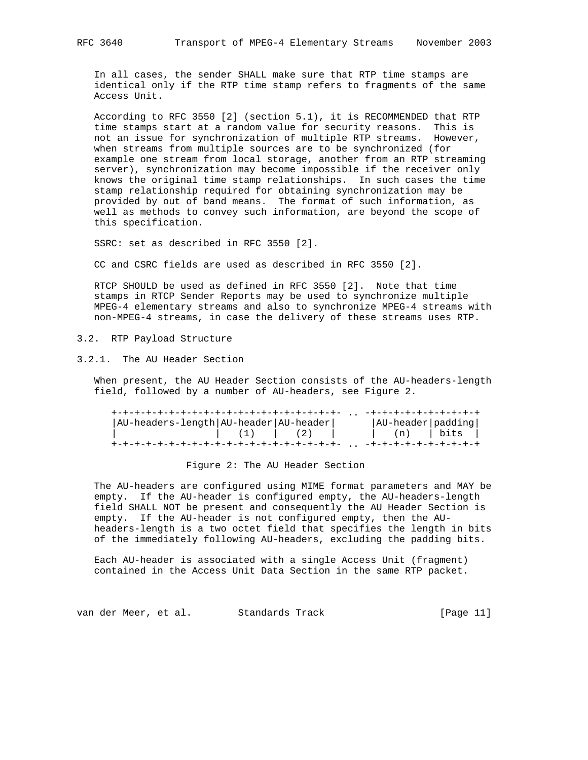In all cases, the sender SHALL make sure that RTP time stamps are identical only if the RTP time stamp refers to fragments of the same Access Unit.

 According to RFC 3550 [2] (section 5.1), it is RECOMMENDED that RTP time stamps start at a random value for security reasons. This is not an issue for synchronization of multiple RTP streams. However, when streams from multiple sources are to be synchronized (for example one stream from local storage, another from an RTP streaming server), synchronization may become impossible if the receiver only knows the original time stamp relationships. In such cases the time stamp relationship required for obtaining synchronization may be provided by out of band means. The format of such information, as well as methods to convey such information, are beyond the scope of this specification.

SSRC: set as described in RFC 3550 [2].

CC and CSRC fields are used as described in RFC 3550 [2].

 RTCP SHOULD be used as defined in RFC 3550 [2]. Note that time stamps in RTCP Sender Reports may be used to synchronize multiple MPEG-4 elementary streams and also to synchronize MPEG-4 streams with non-MPEG-4 streams, in case the delivery of these streams uses RTP.

3.2. RTP Payload Structure

3.2.1. The AU Header Section

 When present, the AU Header Section consists of the AU-headers-length field, followed by a number of AU-headers, see Figure 2.

| AU-headers-length   AU-header   AU-header |                                                                                          |  | $ AU$ -header $ padding $        |  |
|-------------------------------------------|------------------------------------------------------------------------------------------|--|----------------------------------|--|
|                                           | $\begin{array}{ccccccccccccccccc} \vert & (1) & \vert & (2) & \vert & \vert \end{array}$ |  | $\vert$ (n) $\vert$ bits $\vert$ |  |
|                                           |                                                                                          |  |                                  |  |

Figure 2: The AU Header Section

 The AU-headers are configured using MIME format parameters and MAY be empty. If the AU-header is configured empty, the AU-headers-length field SHALL NOT be present and consequently the AU Header Section is empty. If the AU-header is not configured empty, then the AU headers-length is a two octet field that specifies the length in bits of the immediately following AU-headers, excluding the padding bits.

 Each AU-header is associated with a single Access Unit (fragment) contained in the Access Unit Data Section in the same RTP packet.

van der Meer, et al. Standards Track [Page 11]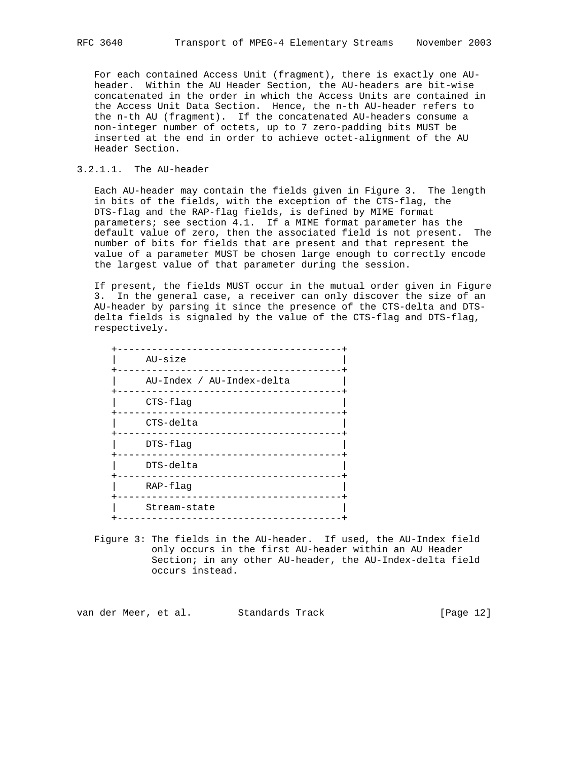For each contained Access Unit (fragment), there is exactly one AU header. Within the AU Header Section, the AU-headers are bit-wise concatenated in the order in which the Access Units are contained in the Access Unit Data Section. Hence, the n-th AU-header refers to the n-th AU (fragment). If the concatenated AU-headers consume a non-integer number of octets, up to 7 zero-padding bits MUST be inserted at the end in order to achieve octet-alignment of the AU Header Section.

## 3.2.1.1. The AU-header

 Each AU-header may contain the fields given in Figure 3. The length in bits of the fields, with the exception of the CTS-flag, the DTS-flag and the RAP-flag fields, is defined by MIME format parameters; see section 4.1. If a MIME format parameter has the default value of zero, then the associated field is not present. The number of bits for fields that are present and that represent the value of a parameter MUST be chosen large enough to correctly encode the largest value of that parameter during the session.

 If present, the fields MUST occur in the mutual order given in Figure 3. In the general case, a receiver can only discover the size of an AU-header by parsing it since the presence of the CTS-delta and DTS delta fields is signaled by the value of the CTS-flag and DTS-flag, respectively.

| AU-size                   |
|---------------------------|
| AU-Index / AU-Index-delta |
| $CTS-flag$                |
| CTS-delta                 |
| $DTS$ -flag               |
| DTS-delta                 |
| $RAP - flaq$              |
| Stream-state              |
|                           |

 Figure 3: The fields in the AU-header. If used, the AU-Index field only occurs in the first AU-header within an AU Header Section; in any other AU-header, the AU-Index-delta field occurs instead.

van der Meer, et al. Standards Track [Page 12]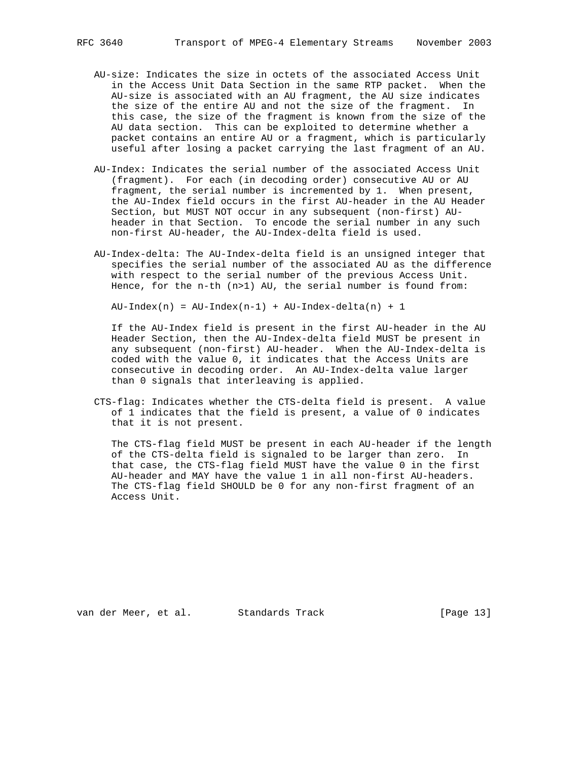- AU-size: Indicates the size in octets of the associated Access Unit in the Access Unit Data Section in the same RTP packet. When the AU-size is associated with an AU fragment, the AU size indicates the size of the entire AU and not the size of the fragment. In this case, the size of the fragment is known from the size of the AU data section. This can be exploited to determine whether a packet contains an entire AU or a fragment, which is particularly useful after losing a packet carrying the last fragment of an AU.
- AU-Index: Indicates the serial number of the associated Access Unit (fragment). For each (in decoding order) consecutive AU or AU fragment, the serial number is incremented by 1. When present, the AU-Index field occurs in the first AU-header in the AU Header Section, but MUST NOT occur in any subsequent (non-first) AU header in that Section. To encode the serial number in any such non-first AU-header, the AU-Index-delta field is used.
- AU-Index-delta: The AU-Index-delta field is an unsigned integer that specifies the serial number of the associated AU as the difference with respect to the serial number of the previous Access Unit. Hence, for the n-th (n>1) AU, the serial number is found from:

 $AU-Index(n) = AU-Index(n-1) + AU-Index-delta(n) + 1$ 

 If the AU-Index field is present in the first AU-header in the AU Header Section, then the AU-Index-delta field MUST be present in any subsequent (non-first) AU-header. When the AU-Index-delta is coded with the value 0, it indicates that the Access Units are consecutive in decoding order. An AU-Index-delta value larger than 0 signals that interleaving is applied.

 CTS-flag: Indicates whether the CTS-delta field is present. A value of 1 indicates that the field is present, a value of 0 indicates that it is not present.

 The CTS-flag field MUST be present in each AU-header if the length of the CTS-delta field is signaled to be larger than zero. In that case, the CTS-flag field MUST have the value 0 in the first AU-header and MAY have the value 1 in all non-first AU-headers. The CTS-flag field SHOULD be 0 for any non-first fragment of an Access Unit.

van der Meer, et al. Standards Track [Page 13]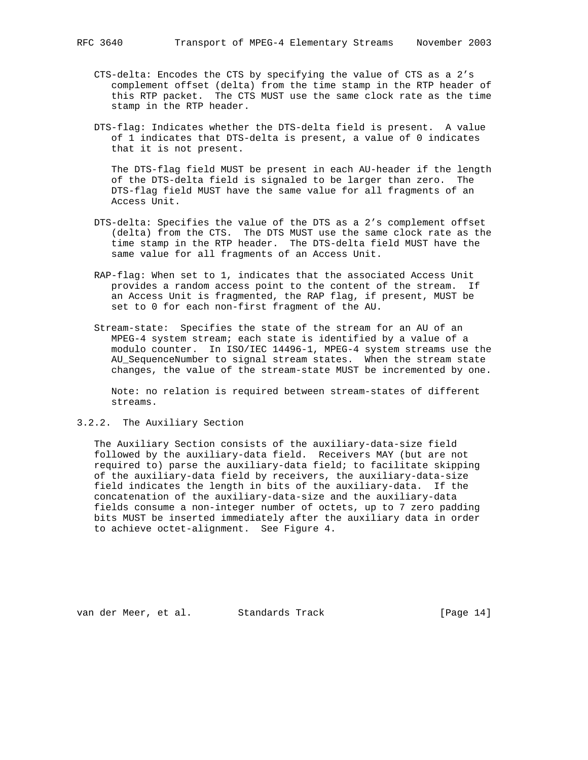- CTS-delta: Encodes the CTS by specifying the value of CTS as a 2's complement offset (delta) from the time stamp in the RTP header of this RTP packet. The CTS MUST use the same clock rate as the time stamp in the RTP header.
- DTS-flag: Indicates whether the DTS-delta field is present. A value of 1 indicates that DTS-delta is present, a value of 0 indicates that it is not present.

 The DTS-flag field MUST be present in each AU-header if the length of the DTS-delta field is signaled to be larger than zero. The DTS-flag field MUST have the same value for all fragments of an Access Unit.

- DTS-delta: Specifies the value of the DTS as a 2's complement offset (delta) from the CTS. The DTS MUST use the same clock rate as the time stamp in the RTP header. The DTS-delta field MUST have the same value for all fragments of an Access Unit.
- RAP-flag: When set to 1, indicates that the associated Access Unit provides a random access point to the content of the stream. If an Access Unit is fragmented, the RAP flag, if present, MUST be set to 0 for each non-first fragment of the AU.
- Stream-state: Specifies the state of the stream for an AU of an MPEG-4 system stream; each state is identified by a value of a modulo counter. In ISO/IEC 14496-1, MPEG-4 system streams use the AU\_SequenceNumber to signal stream states. When the stream state changes, the value of the stream-state MUST be incremented by one.

 Note: no relation is required between stream-states of different streams.

3.2.2. The Auxiliary Section

 The Auxiliary Section consists of the auxiliary-data-size field followed by the auxiliary-data field. Receivers MAY (but are not required to) parse the auxiliary-data field; to facilitate skipping of the auxiliary-data field by receivers, the auxiliary-data-size field indicates the length in bits of the auxiliary-data. If the concatenation of the auxiliary-data-size and the auxiliary-data fields consume a non-integer number of octets, up to 7 zero padding bits MUST be inserted immediately after the auxiliary data in order to achieve octet-alignment. See Figure 4.

van der Meer, et al. Standards Track [Page 14]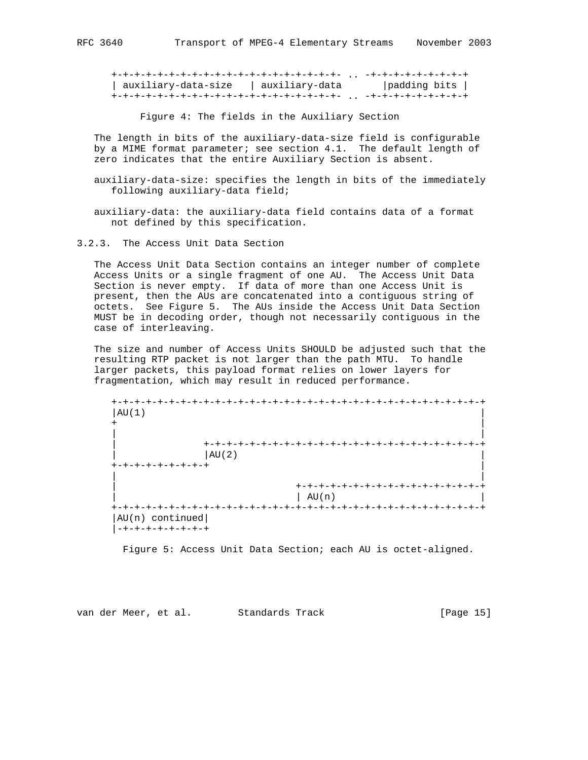+-+-+-+-+-+-+-+-+-+-+-+-+-+-+-+-+-+-+-+- .. -+-+-+-+-+-+-+-+-+ | auxiliary-data-size | auxiliary-data |padding bits | +-+-+-+-+-+-+-+-+-+-+-+-+-+-+-+-+-+-+-+- .. -+-+-+-+-+-+-+-+-+

Figure 4: The fields in the Auxiliary Section

 The length in bits of the auxiliary-data-size field is configurable by a MIME format parameter; see section 4.1. The default length of zero indicates that the entire Auxiliary Section is absent.

 auxiliary-data-size: specifies the length in bits of the immediately following auxiliary-data field;

 auxiliary-data: the auxiliary-data field contains data of a format not defined by this specification.

3.2.3. The Access Unit Data Section

 The Access Unit Data Section contains an integer number of complete Access Units or a single fragment of one AU. The Access Unit Data Section is never empty. If data of more than one Access Unit is present, then the AUs are concatenated into a contiguous string of octets. See Figure 5. The AUs inside the Access Unit Data Section MUST be in decoding order, though not necessarily contiguous in the case of interleaving.

 The size and number of Access Units SHOULD be adjusted such that the resulting RTP packet is not larger than the path MTU. To handle larger packets, this payload format relies on lower layers for fragmentation, which may result in reduced performance.

 +-+-+-+-+-+-+-+-+-+-+-+-+-+-+-+-+-+-+-+-+-+-+-+-+-+-+-+-+-+-+-+-+  $|AU(1)|$  + | | | | +-+-+-+-+-+-+-+-+-+-+-+-+-+-+-+-+-+-+-+-+-+-+-+-+  $|\text{AU}(2)|$  +-+-+-+-+-+-+-+-+ | | | | +-+-+-+-+-+-+-+-+-+-+-+-+-+-+-+-+ | | AU(n) | +-+-+-+-+-+-+-+-+-+-+-+-+-+-+-+-+-+-+-+-+-+-+-+-+-+-+-+-+-+-+-+-+ |AU(n) continued| |-+-+-+-+-+-+-+-+

Figure 5: Access Unit Data Section; each AU is octet-aligned.

van der Meer, et al. Standards Track [Page 15]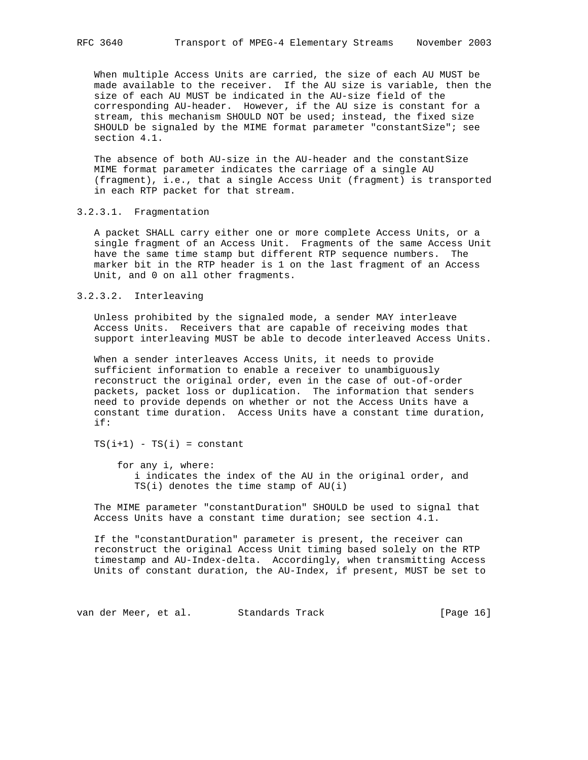When multiple Access Units are carried, the size of each AU MUST be made available to the receiver. If the AU size is variable, then the size of each AU MUST be indicated in the AU-size field of the corresponding AU-header. However, if the AU size is constant for a stream, this mechanism SHOULD NOT be used; instead, the fixed size SHOULD be signaled by the MIME format parameter "constantSize"; see section 4.1.

 The absence of both AU-size in the AU-header and the constantSize MIME format parameter indicates the carriage of a single AU (fragment), i.e., that a single Access Unit (fragment) is transported in each RTP packet for that stream.

## 3.2.3.1. Fragmentation

 A packet SHALL carry either one or more complete Access Units, or a single fragment of an Access Unit. Fragments of the same Access Unit have the same time stamp but different RTP sequence numbers. The marker bit in the RTP header is 1 on the last fragment of an Access Unit, and 0 on all other fragments.

# 3.2.3.2. Interleaving

 Unless prohibited by the signaled mode, a sender MAY interleave Access Units. Receivers that are capable of receiving modes that support interleaving MUST be able to decode interleaved Access Units.

 When a sender interleaves Access Units, it needs to provide sufficient information to enable a receiver to unambiguously reconstruct the original order, even in the case of out-of-order packets, packet loss or duplication. The information that senders need to provide depends on whether or not the Access Units have a constant time duration. Access Units have a constant time duration, if:

 $TS(i+1) - TS(i) = constant$ 

 for any i, where: i indicates the index of the AU in the original order, and TS(i) denotes the time stamp of AU(i)

 The MIME parameter "constantDuration" SHOULD be used to signal that Access Units have a constant time duration; see section 4.1.

 If the "constantDuration" parameter is present, the receiver can reconstruct the original Access Unit timing based solely on the RTP timestamp and AU-Index-delta. Accordingly, when transmitting Access Units of constant duration, the AU-Index, if present, MUST be set to

van der Meer, et al. Standards Track [Page 16]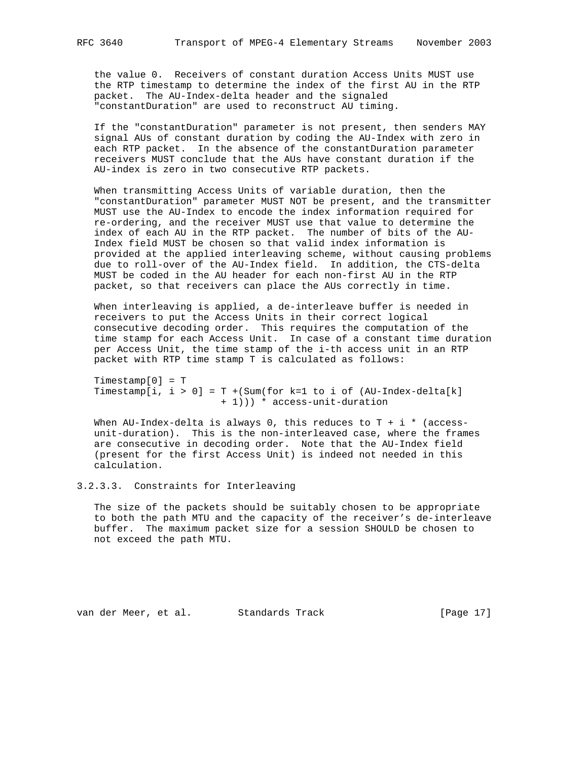the value 0. Receivers of constant duration Access Units MUST use the RTP timestamp to determine the index of the first AU in the RTP packet. The AU-Index-delta header and the signaled "constantDuration" are used to reconstruct AU timing.

 If the "constantDuration" parameter is not present, then senders MAY signal AUs of constant duration by coding the AU-Index with zero in each RTP packet. In the absence of the constantDuration parameter receivers MUST conclude that the AUs have constant duration if the AU-index is zero in two consecutive RTP packets.

 When transmitting Access Units of variable duration, then the "constantDuration" parameter MUST NOT be present, and the transmitter MUST use the AU-Index to encode the index information required for re-ordering, and the receiver MUST use that value to determine the index of each AU in the RTP packet. The number of bits of the AU- Index field MUST be chosen so that valid index information is provided at the applied interleaving scheme, without causing problems due to roll-over of the AU-Index field. In addition, the CTS-delta MUST be coded in the AU header for each non-first AU in the RTP packet, so that receivers can place the AUs correctly in time.

 When interleaving is applied, a de-interleave buffer is needed in receivers to put the Access Units in their correct logical consecutive decoding order. This requires the computation of the time stamp for each Access Unit. In case of a constant time duration per Access Unit, the time stamp of the i-th access unit in an RTP packet with RTP time stamp T is calculated as follows:

 Timestamp[0] = T Timestamp[i, i > 0] = T +(Sum(for k=1 to i of (AU-Index-delta[k] + 1))) \* access-unit-duration

When AU-Index-delta is always 0, this reduces to  $T + i *$  (access unit-duration). This is the non-interleaved case, where the frames are consecutive in decoding order. Note that the AU-Index field (present for the first Access Unit) is indeed not needed in this calculation.

## 3.2.3.3. Constraints for Interleaving

 The size of the packets should be suitably chosen to be appropriate to both the path MTU and the capacity of the receiver's de-interleave buffer. The maximum packet size for a session SHOULD be chosen to not exceed the path MTU.

van der Meer, et al. Standards Track [Page 17]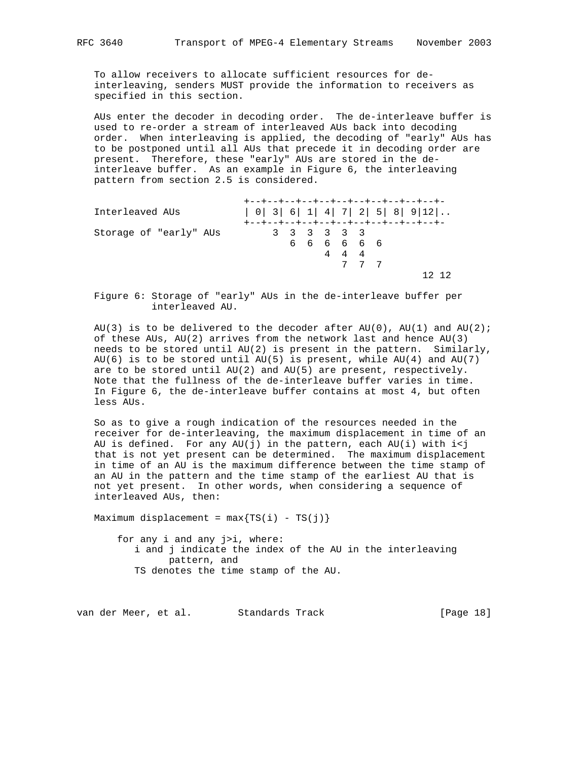To allow receivers to allocate sufficient resources for de interleaving, senders MUST provide the information to receivers as specified in this section.

 AUs enter the decoder in decoding order. The de-interleave buffer is used to re-order a stream of interleaved AUs back into decoding order. When interleaving is applied, the decoding of "early" AUs has to be postponed until all AUs that precede it in decoding order are present. Therefore, these "early" AUs are stored in the de interleave buffer. As an example in Figure 6, the interleaving pattern from section 2.5 is considered.

| Interleaved AUs        |  |                            |      |     | +--+--+--+--+--+--+--+--+--+--+--+-<br>+--+--+--+--+--+--+--+--+--+--+--+- |
|------------------------|--|----------------------------|------|-----|----------------------------------------------------------------------------|
| Storage of "early" AUs |  | 3 3 3 3 3 3<br>6 6 6 6 6 6 | 4444 | 777 |                                                                            |

 Figure 6: Storage of "early" AUs in the de-interleave buffer per interleaved AU.

AU(3) is to be delivered to the decoder after AU(0), AU(1) and AU(2); of these AUs,  $AU(2)$  arrives from the network last and hence  $AU(3)$  needs to be stored until AU(2) is present in the pattern. Similarly, AU(6) is to be stored until AU(5) is present, while AU(4) and AU(7) are to be stored until AU(2) and AU(5) are present, respectively. Note that the fullness of the de-interleave buffer varies in time. In Figure 6, the de-interleave buffer contains at most 4, but often less AUs.

 So as to give a rough indication of the resources needed in the receiver for de-interleaving, the maximum displacement in time of an AU is defined. For any  $AU(j)$  in the pattern, each  $AU(i)$  with  $i < j$  that is not yet present can be determined. The maximum displacement in time of an AU is the maximum difference between the time stamp of an AU in the pattern and the time stamp of the earliest AU that is not yet present. In other words, when considering a sequence of interleaved AUs, then:

Maximum displacement =  $max{TS(i) - TS(j)}$ 

 for any i and any j>i, where: i and j indicate the index of the AU in the interleaving pattern, and TS denotes the time stamp of the AU.

van der Meer, et al. Standards Track [Page 18]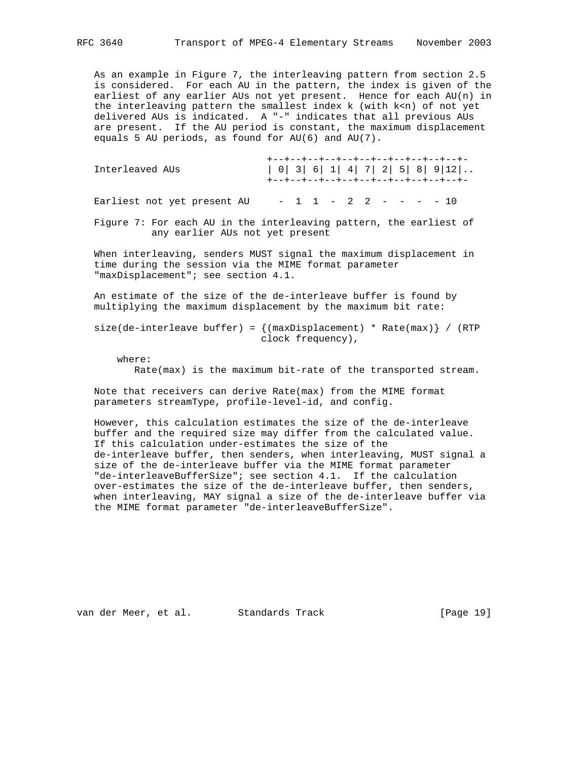As an example in Figure 7, the interleaving pattern from section 2.5 is considered. For each AU in the pattern, the index is given of the earliest of any earlier AUs not yet present. Hence for each AU(n) in the interleaving pattern the smallest index k (with k<n) of not yet delivered AUs is indicated. A "-" indicates that all previous AUs are present. If the AU period is constant, the maximum displacement equals 5 AU periods, as found for AU(6) and AU(7).

| Interleaved AUs                                                                              | +--+--+--+--+--+--+--+--+--+--+--+--+<br>$  0   3   6   1   4   7   2   5   8   9   12  $<br>+--+--+--+--+--+--+--+--+--+--+--+- |
|----------------------------------------------------------------------------------------------|----------------------------------------------------------------------------------------------------------------------------------|
| Earliest not yet present AU                                                                  | $-1$ 1 - 2 2 - - - - 10                                                                                                          |
| any earlier AUs not yet present                                                              | Figure 7: For each AU in the interleaving pattern, the earliest of                                                               |
| time during the session via the MIME format parameter<br>"maxDisplacement"; see section 4.1. | When interleaving, senders MUST signal the maximum displacement in                                                               |
|                                                                                              | An estimate of the size of the de-interleave buffer is found by<br>multiplying the maximum displacement by the maximum bit rate: |
|                                                                                              | size(de-interleave buffer) = $\{$ (maxDisplacement) * Rate(max) $\}$ / (RTP<br>clock frequency),                                 |
| where:                                                                                       | Rate(max) is the maximum bit-rate of the transported stream.                                                                     |
|                                                                                              | Note that receivers can derive Rate(max) from the MIME format                                                                    |

parameters streamType, profile-level-id, and config.

 However, this calculation estimates the size of the de-interleave buffer and the required size may differ from the calculated value. If this calculation under-estimates the size of the de-interleave buffer, then senders, when interleaving, MUST signal a size of the de-interleave buffer via the MIME format parameter "de-interleaveBufferSize"; see section 4.1. If the calculation over-estimates the size of the de-interleave buffer, then senders, when interleaving, MAY signal a size of the de-interleave buffer via the MIME format parameter "de-interleaveBufferSize".

van der Meer, et al. Standards Track [Page 19]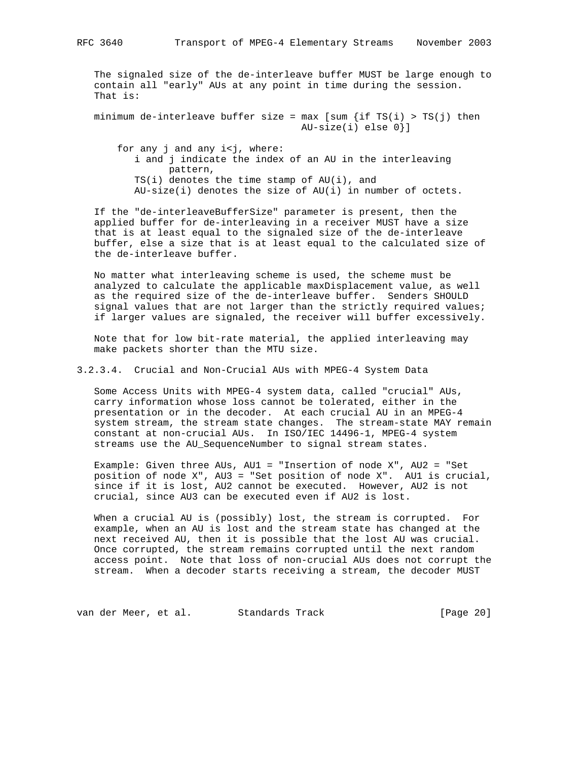The signaled size of the de-interleave buffer MUST be large enough to contain all "early" AUs at any point in time during the session. That is:

minimum de-interleave buffer size =  $max$  [sum {if TS(i) > TS(j) then AU-size(i) else 0}]

for any j and any i<j, where: i and j indicate the index of an AU in the interleaving pattern,  $TS(i)$  denotes the time stamp of  $AU(i)$ , and AU-size(i) denotes the size of AU(i) in number of octets.

 If the "de-interleaveBufferSize" parameter is present, then the applied buffer for de-interleaving in a receiver MUST have a size that is at least equal to the signaled size of the de-interleave buffer, else a size that is at least equal to the calculated size of the de-interleave buffer.

 No matter what interleaving scheme is used, the scheme must be analyzed to calculate the applicable maxDisplacement value, as well as the required size of the de-interleave buffer. Senders SHOULD signal values that are not larger than the strictly required values; if larger values are signaled, the receiver will buffer excessively.

 Note that for low bit-rate material, the applied interleaving may make packets shorter than the MTU size.

3.2.3.4. Crucial and Non-Crucial AUs with MPEG-4 System Data

 Some Access Units with MPEG-4 system data, called "crucial" AUs, carry information whose loss cannot be tolerated, either in the presentation or in the decoder. At each crucial AU in an MPEG-4 system stream, the stream state changes. The stream-state MAY remain constant at non-crucial AUs. In ISO/IEC 14496-1, MPEG-4 system streams use the AU\_SequenceNumber to signal stream states.

 Example: Given three AUs, AU1 = "Insertion of node X", AU2 = "Set position of node X", AU3 = "Set position of node X". AU1 is crucial, since if it is lost, AU2 cannot be executed. However, AU2 is not crucial, since AU3 can be executed even if AU2 is lost.

 When a crucial AU is (possibly) lost, the stream is corrupted. For example, when an AU is lost and the stream state has changed at the next received AU, then it is possible that the lost AU was crucial. Once corrupted, the stream remains corrupted until the next random access point. Note that loss of non-crucial AUs does not corrupt the stream. When a decoder starts receiving a stream, the decoder MUST

van der Meer, et al. Standards Track [Page 20]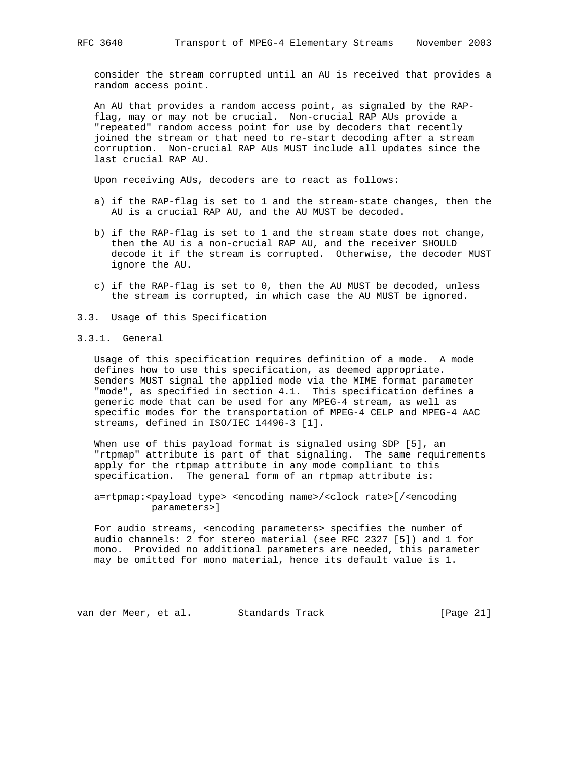consider the stream corrupted until an AU is received that provides a random access point.

 An AU that provides a random access point, as signaled by the RAP flag, may or may not be crucial. Non-crucial RAP AUs provide a "repeated" random access point for use by decoders that recently joined the stream or that need to re-start decoding after a stream corruption. Non-crucial RAP AUs MUST include all updates since the last crucial RAP AU.

Upon receiving AUs, decoders are to react as follows:

- a) if the RAP-flag is set to 1 and the stream-state changes, then the AU is a crucial RAP AU, and the AU MUST be decoded.
- b) if the RAP-flag is set to 1 and the stream state does not change, then the AU is a non-crucial RAP AU, and the receiver SHOULD decode it if the stream is corrupted. Otherwise, the decoder MUST ignore the AU.
- c) if the RAP-flag is set to 0, then the AU MUST be decoded, unless the stream is corrupted, in which case the AU MUST be ignored.
- 3.3. Usage of this Specification
- 3.3.1. General

 Usage of this specification requires definition of a mode. A mode defines how to use this specification, as deemed appropriate. Senders MUST signal the applied mode via the MIME format parameter "mode", as specified in section 4.1. This specification defines a generic mode that can be used for any MPEG-4 stream, as well as specific modes for the transportation of MPEG-4 CELP and MPEG-4 AAC streams, defined in ISO/IEC 14496-3 [1].

 When use of this payload format is signaled using SDP [5], an "rtpmap" attribute is part of that signaling. The same requirements apply for the rtpmap attribute in any mode compliant to this specification. The general form of an rtpmap attribute is:

 a=rtpmap:<payload type> <encoding name>/<clock rate>[/<encoding parameters>]

 For audio streams, <encoding parameters> specifies the number of audio channels: 2 for stereo material (see RFC 2327 [5]) and 1 for mono. Provided no additional parameters are needed, this parameter may be omitted for mono material, hence its default value is 1.

van der Meer, et al. Standards Track [Page 21]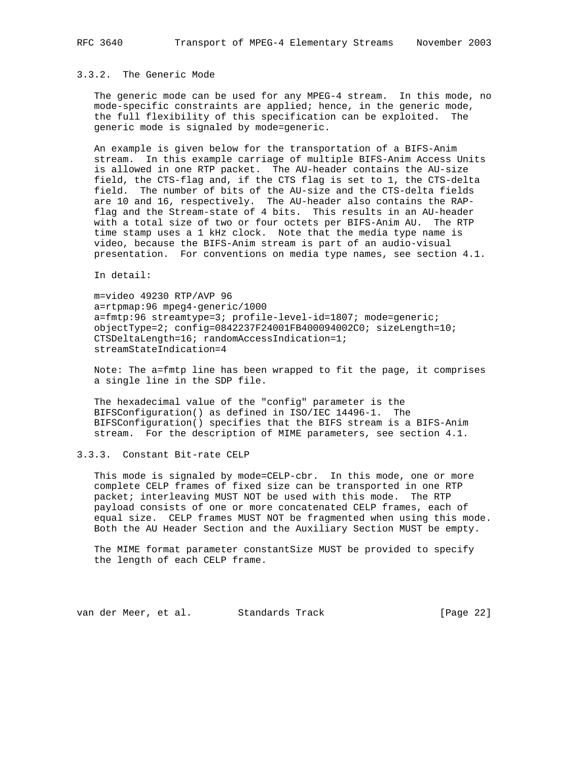# 3.3.2. The Generic Mode

 The generic mode can be used for any MPEG-4 stream. In this mode, no mode-specific constraints are applied; hence, in the generic mode, the full flexibility of this specification can be exploited. The generic mode is signaled by mode=generic.

 An example is given below for the transportation of a BIFS-Anim stream. In this example carriage of multiple BIFS-Anim Access Units is allowed in one RTP packet. The AU-header contains the AU-size field, the CTS-flag and, if the CTS flag is set to 1, the CTS-delta field. The number of bits of the AU-size and the CTS-delta fields are 10 and 16, respectively. The AU-header also contains the RAP flag and the Stream-state of 4 bits. This results in an AU-header with a total size of two or four octets per BIFS-Anim AU. The RTP time stamp uses a 1 kHz clock. Note that the media type name is video, because the BIFS-Anim stream is part of an audio-visual presentation. For conventions on media type names, see section 4.1.

In detail:

 m=video 49230 RTP/AVP 96 a=rtpmap:96 mpeg4-generic/1000 a=fmtp:96 streamtype=3; profile-level-id=1807; mode=generic; objectType=2; config=0842237F24001FB400094002C0; sizeLength=10; CTSDeltaLength=16; randomAccessIndication=1; streamStateIndication=4

 Note: The a=fmtp line has been wrapped to fit the page, it comprises a single line in the SDP file.

 The hexadecimal value of the "config" parameter is the BIFSConfiguration() as defined in ISO/IEC 14496-1. The BIFSConfiguration() specifies that the BIFS stream is a BIFS-Anim stream. For the description of MIME parameters, see section 4.1.

# 3.3.3. Constant Bit-rate CELP

 This mode is signaled by mode=CELP-cbr. In this mode, one or more complete CELP frames of fixed size can be transported in one RTP packet; interleaving MUST NOT be used with this mode. The RTP payload consists of one or more concatenated CELP frames, each of equal size. CELP frames MUST NOT be fragmented when using this mode. Both the AU Header Section and the Auxiliary Section MUST be empty.

 The MIME format parameter constantSize MUST be provided to specify the length of each CELP frame.

van der Meer, et al. Standards Track [Page 22]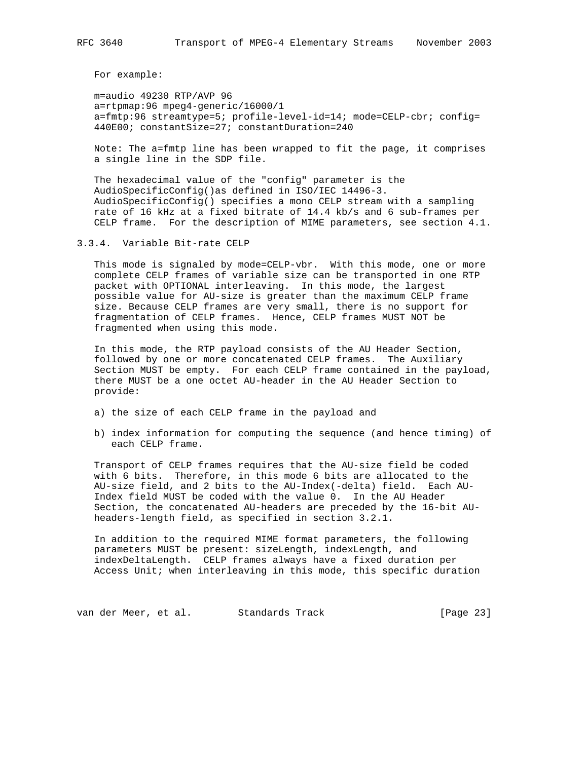For example:

 m=audio 49230 RTP/AVP 96 a=rtpmap:96 mpeg4-generic/16000/1 a=fmtp:96 streamtype=5; profile-level-id=14; mode=CELP-cbr; config= 440E00; constantSize=27; constantDuration=240

 Note: The a=fmtp line has been wrapped to fit the page, it comprises a single line in the SDP file.

 The hexadecimal value of the "config" parameter is the AudioSpecificConfig()as defined in ISO/IEC 14496-3. AudioSpecificConfig() specifies a mono CELP stream with a sampling rate of 16 kHz at a fixed bitrate of 14.4 kb/s and 6 sub-frames per CELP frame. For the description of MIME parameters, see section 4.1.

3.3.4. Variable Bit-rate CELP

 This mode is signaled by mode=CELP-vbr. With this mode, one or more complete CELP frames of variable size can be transported in one RTP packet with OPTIONAL interleaving. In this mode, the largest possible value for AU-size is greater than the maximum CELP frame size. Because CELP frames are very small, there is no support for fragmentation of CELP frames. Hence, CELP frames MUST NOT be fragmented when using this mode.

 In this mode, the RTP payload consists of the AU Header Section, followed by one or more concatenated CELP frames. The Auxiliary Section MUST be empty. For each CELP frame contained in the payload, there MUST be a one octet AU-header in the AU Header Section to provide:

- a) the size of each CELP frame in the payload and
- b) index information for computing the sequence (and hence timing) of each CELP frame.

 Transport of CELP frames requires that the AU-size field be coded with 6 bits. Therefore, in this mode 6 bits are allocated to the AU-size field, and 2 bits to the AU-Index(-delta) field. Each AU- Index field MUST be coded with the value 0. In the AU Header Section, the concatenated AU-headers are preceded by the 16-bit AU headers-length field, as specified in section 3.2.1.

 In addition to the required MIME format parameters, the following parameters MUST be present: sizeLength, indexLength, and indexDeltaLength. CELP frames always have a fixed duration per Access Unit; when interleaving in this mode, this specific duration

van der Meer, et al. Standards Track [Page 23]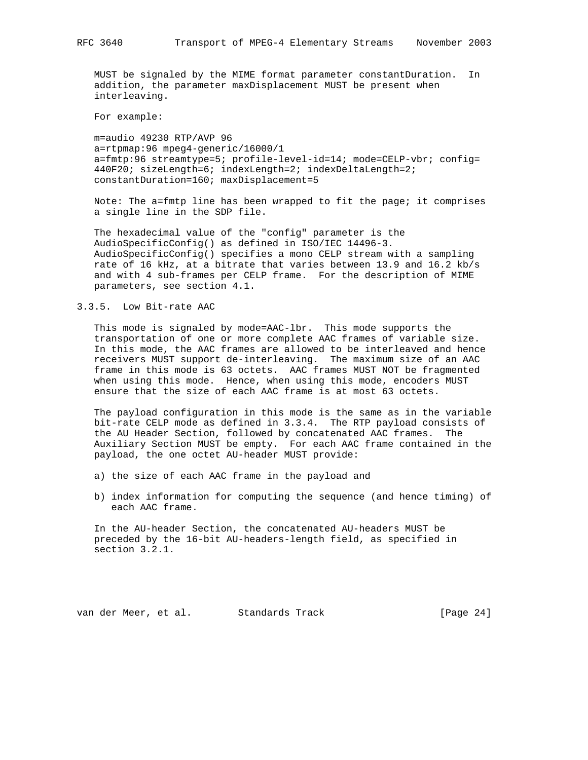MUST be signaled by the MIME format parameter constantDuration. In addition, the parameter maxDisplacement MUST be present when interleaving.

For example:

 m=audio 49230 RTP/AVP 96 a=rtpmap:96 mpeg4-generic/16000/1 a=fmtp:96 streamtype=5; profile-level-id=14; mode=CELP-vbr; config= 440F20; sizeLength=6; indexLength=2; indexDeltaLength=2; constantDuration=160; maxDisplacement=5

 Note: The a=fmtp line has been wrapped to fit the page; it comprises a single line in the SDP file.

 The hexadecimal value of the "config" parameter is the AudioSpecificConfig() as defined in ISO/IEC 14496-3. AudioSpecificConfig() specifies a mono CELP stream with a sampling rate of 16 kHz, at a bitrate that varies between 13.9 and 16.2 kb/s and with 4 sub-frames per CELP frame. For the description of MIME parameters, see section 4.1.

## 3.3.5. Low Bit-rate AAC

 This mode is signaled by mode=AAC-lbr. This mode supports the transportation of one or more complete AAC frames of variable size. In this mode, the AAC frames are allowed to be interleaved and hence receivers MUST support de-interleaving. The maximum size of an AAC frame in this mode is 63 octets. AAC frames MUST NOT be fragmented when using this mode. Hence, when using this mode, encoders MUST ensure that the size of each AAC frame is at most 63 octets.

 The payload configuration in this mode is the same as in the variable bit-rate CELP mode as defined in 3.3.4. The RTP payload consists of the AU Header Section, followed by concatenated AAC frames. The Auxiliary Section MUST be empty. For each AAC frame contained in the payload, the one octet AU-header MUST provide:

- a) the size of each AAC frame in the payload and
- b) index information for computing the sequence (and hence timing) of each AAC frame.

 In the AU-header Section, the concatenated AU-headers MUST be preceded by the 16-bit AU-headers-length field, as specified in section 3.2.1.

van der Meer, et al. Standards Track [Page 24]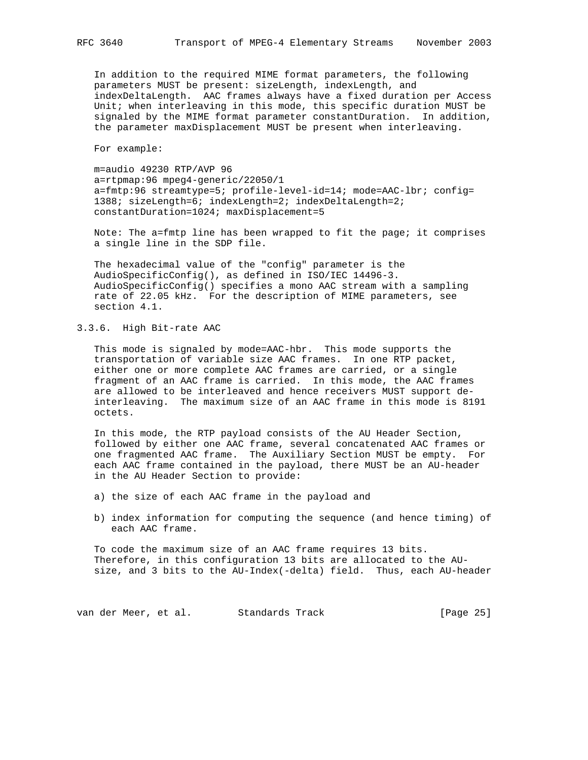In addition to the required MIME format parameters, the following parameters MUST be present: sizeLength, indexLength, and indexDeltaLength. AAC frames always have a fixed duration per Access Unit; when interleaving in this mode, this specific duration MUST be signaled by the MIME format parameter constantDuration. In addition, the parameter maxDisplacement MUST be present when interleaving.

For example:

 m=audio 49230 RTP/AVP 96 a=rtpmap:96 mpeg4-generic/22050/1 a=fmtp:96 streamtype=5; profile-level-id=14; mode=AAC-lbr; config= 1388; sizeLength=6; indexLength=2; indexDeltaLength=2; constantDuration=1024; maxDisplacement=5

 Note: The a=fmtp line has been wrapped to fit the page; it comprises a single line in the SDP file.

 The hexadecimal value of the "config" parameter is the AudioSpecificConfig(), as defined in ISO/IEC 14496-3. AudioSpecificConfig() specifies a mono AAC stream with a sampling rate of 22.05 kHz. For the description of MIME parameters, see section 4.1.

3.3.6. High Bit-rate AAC

 This mode is signaled by mode=AAC-hbr. This mode supports the transportation of variable size AAC frames. In one RTP packet, either one or more complete AAC frames are carried, or a single fragment of an AAC frame is carried. In this mode, the AAC frames are allowed to be interleaved and hence receivers MUST support de interleaving. The maximum size of an AAC frame in this mode is 8191 octets.

 In this mode, the RTP payload consists of the AU Header Section, followed by either one AAC frame, several concatenated AAC frames or one fragmented AAC frame. The Auxiliary Section MUST be empty. For each AAC frame contained in the payload, there MUST be an AU-header in the AU Header Section to provide:

- a) the size of each AAC frame in the payload and
- b) index information for computing the sequence (and hence timing) of each AAC frame.

 To code the maximum size of an AAC frame requires 13 bits. Therefore, in this configuration 13 bits are allocated to the AU size, and 3 bits to the AU-Index(-delta) field. Thus, each AU-header

van der Meer, et al. Standards Track [Page 25]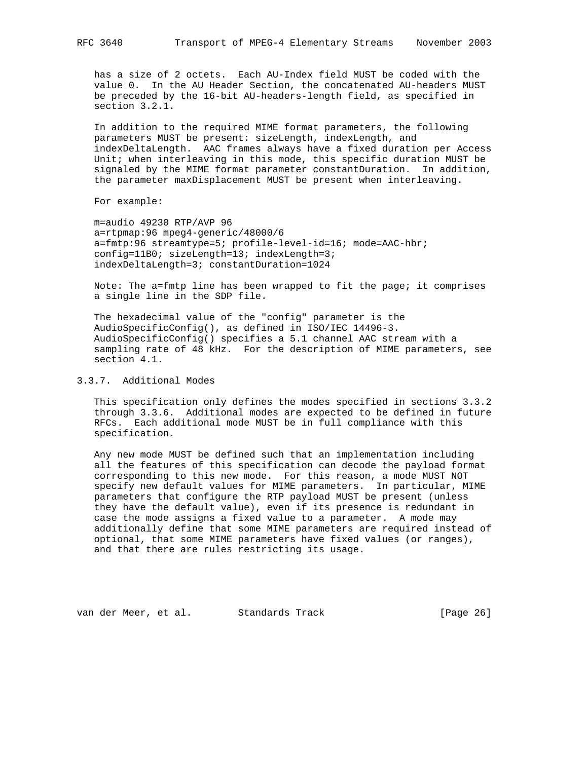has a size of 2 octets. Each AU-Index field MUST be coded with the value 0. In the AU Header Section, the concatenated AU-headers MUST be preceded by the 16-bit AU-headers-length field, as specified in section 3.2.1.

 In addition to the required MIME format parameters, the following parameters MUST be present: sizeLength, indexLength, and indexDeltaLength. AAC frames always have a fixed duration per Access Unit; when interleaving in this mode, this specific duration MUST be signaled by the MIME format parameter constantDuration. In addition, the parameter maxDisplacement MUST be present when interleaving.

For example:

 m=audio 49230 RTP/AVP 96 a=rtpmap:96 mpeg4-generic/48000/6 a=fmtp:96 streamtype=5; profile-level-id=16; mode=AAC-hbr; config=11B0; sizeLength=13; indexLength=3; indexDeltaLength=3; constantDuration=1024

 Note: The a=fmtp line has been wrapped to fit the page; it comprises a single line in the SDP file.

 The hexadecimal value of the "config" parameter is the AudioSpecificConfig(), as defined in ISO/IEC 14496-3. AudioSpecificConfig() specifies a 5.1 channel AAC stream with a sampling rate of 48 kHz. For the description of MIME parameters, see section 4.1.

# 3.3.7. Additional Modes

 This specification only defines the modes specified in sections 3.3.2 through 3.3.6. Additional modes are expected to be defined in future RFCs. Each additional mode MUST be in full compliance with this specification.

 Any new mode MUST be defined such that an implementation including all the features of this specification can decode the payload format corresponding to this new mode. For this reason, a mode MUST NOT specify new default values for MIME parameters. In particular, MIME parameters that configure the RTP payload MUST be present (unless they have the default value), even if its presence is redundant in case the mode assigns a fixed value to a parameter. A mode may additionally define that some MIME parameters are required instead of optional, that some MIME parameters have fixed values (or ranges), and that there are rules restricting its usage.

van der Meer, et al. Standards Track [Page 26]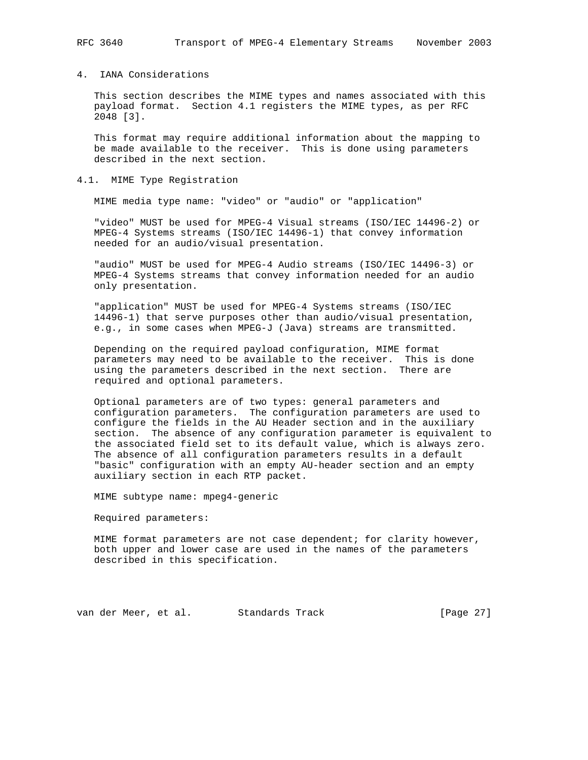## 4. IANA Considerations

 This section describes the MIME types and names associated with this payload format. Section 4.1 registers the MIME types, as per RFC 2048 [3].

 This format may require additional information about the mapping to be made available to the receiver. This is done using parameters described in the next section.

## 4.1. MIME Type Registration

MIME media type name: "video" or "audio" or "application"

 "video" MUST be used for MPEG-4 Visual streams (ISO/IEC 14496-2) or MPEG-4 Systems streams (ISO/IEC 14496-1) that convey information needed for an audio/visual presentation.

 "audio" MUST be used for MPEG-4 Audio streams (ISO/IEC 14496-3) or MPEG-4 Systems streams that convey information needed for an audio only presentation.

 "application" MUST be used for MPEG-4 Systems streams (ISO/IEC 14496-1) that serve purposes other than audio/visual presentation, e.g., in some cases when MPEG-J (Java) streams are transmitted.

 Depending on the required payload configuration, MIME format parameters may need to be available to the receiver. This is done using the parameters described in the next section. There are required and optional parameters.

 Optional parameters are of two types: general parameters and configuration parameters. The configuration parameters are used to configure the fields in the AU Header section and in the auxiliary section. The absence of any configuration parameter is equivalent to the associated field set to its default value, which is always zero. The absence of all configuration parameters results in a default "basic" configuration with an empty AU-header section and an empty auxiliary section in each RTP packet.

MIME subtype name: mpeg4-generic

Required parameters:

 MIME format parameters are not case dependent; for clarity however, both upper and lower case are used in the names of the parameters described in this specification.

van der Meer, et al. Standards Track [Page 27]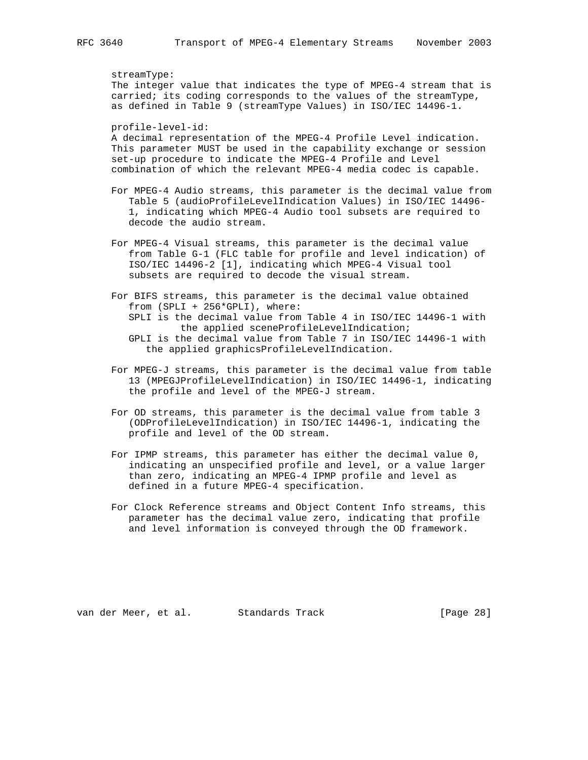streamType:

 The integer value that indicates the type of MPEG-4 stream that is carried; its coding corresponds to the values of the streamType, as defined in Table 9 (streamType Values) in ISO/IEC 14496-1.

profile-level-id:

 A decimal representation of the MPEG-4 Profile Level indication. This parameter MUST be used in the capability exchange or session set-up procedure to indicate the MPEG-4 Profile and Level combination of which the relevant MPEG-4 media codec is capable.

 For MPEG-4 Audio streams, this parameter is the decimal value from Table 5 (audioProfileLevelIndication Values) in ISO/IEC 14496- 1, indicating which MPEG-4 Audio tool subsets are required to decode the audio stream.

 For MPEG-4 Visual streams, this parameter is the decimal value from Table G-1 (FLC table for profile and level indication) of ISO/IEC 14496-2 [1], indicating which MPEG-4 Visual tool subsets are required to decode the visual stream.

 For BIFS streams, this parameter is the decimal value obtained from (SPLI + 256\*GPLI), where: SPLI is the decimal value from Table 4 in ISO/IEC 14496-1 with the applied sceneProfileLevelIndication; GPLI is the decimal value from Table 7 in ISO/IEC 14496-1 with the applied graphicsProfileLevelIndication.

- For MPEG-J streams, this parameter is the decimal value from table 13 (MPEGJProfileLevelIndication) in ISO/IEC 14496-1, indicating the profile and level of the MPEG-J stream.
- For OD streams, this parameter is the decimal value from table 3 (ODProfileLevelIndication) in ISO/IEC 14496-1, indicating the profile and level of the OD stream.
- For IPMP streams, this parameter has either the decimal value 0, indicating an unspecified profile and level, or a value larger than zero, indicating an MPEG-4 IPMP profile and level as defined in a future MPEG-4 specification.
- For Clock Reference streams and Object Content Info streams, this parameter has the decimal value zero, indicating that profile and level information is conveyed through the OD framework.

van der Meer, et al. Standards Track [Page 28]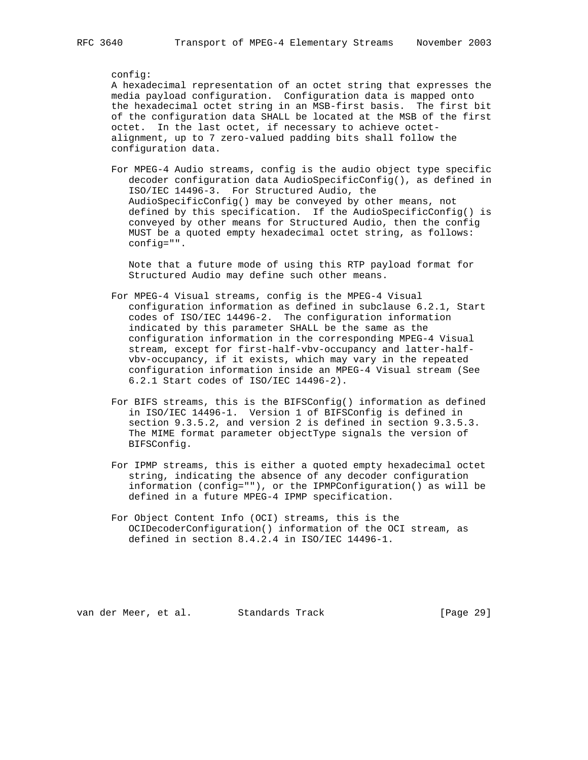## config:

 A hexadecimal representation of an octet string that expresses the media payload configuration. Configuration data is mapped onto the hexadecimal octet string in an MSB-first basis. The first bit of the configuration data SHALL be located at the MSB of the first octet. In the last octet, if necessary to achieve octet alignment, up to 7 zero-valued padding bits shall follow the configuration data.

 For MPEG-4 Audio streams, config is the audio object type specific decoder configuration data AudioSpecificConfig(), as defined in ISO/IEC 14496-3. For Structured Audio, the AudioSpecificConfig() may be conveyed by other means, not defined by this specification. If the AudioSpecificConfig() is conveyed by other means for Structured Audio, then the config MUST be a quoted empty hexadecimal octet string, as follows: config="".

 Note that a future mode of using this RTP payload format for Structured Audio may define such other means.

- For MPEG-4 Visual streams, config is the MPEG-4 Visual configuration information as defined in subclause 6.2.1, Start codes of ISO/IEC 14496-2. The configuration information indicated by this parameter SHALL be the same as the configuration information in the corresponding MPEG-4 Visual stream, except for first-half-vbv-occupancy and latter-half vbv-occupancy, if it exists, which may vary in the repeated configuration information inside an MPEG-4 Visual stream (See 6.2.1 Start codes of ISO/IEC 14496-2).
- For BIFS streams, this is the BIFSConfig() information as defined in ISO/IEC 14496-1. Version 1 of BIFSConfig is defined in section 9.3.5.2, and version 2 is defined in section 9.3.5.3. The MIME format parameter objectType signals the version of BIFSConfig.
- For IPMP streams, this is either a quoted empty hexadecimal octet string, indicating the absence of any decoder configuration information (config=""), or the IPMPConfiguration() as will be defined in a future MPEG-4 IPMP specification.
- For Object Content Info (OCI) streams, this is the OCIDecoderConfiguration() information of the OCI stream, as defined in section 8.4.2.4 in ISO/IEC 14496-1.

van der Meer, et al. Standards Track [Page 29]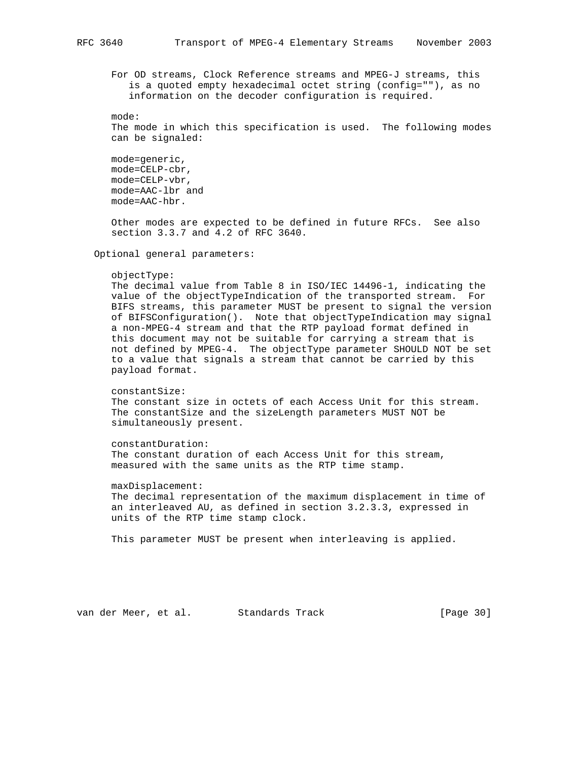For OD streams, Clock Reference streams and MPEG-J streams, this is a quoted empty hexadecimal octet string (config=""), as no information on the decoder configuration is required.

 mode: The mode in which this specification is used. The following modes can be signaled:

 mode=generic, mode=CELP-cbr, mode=CELP-vbr, mode=AAC-lbr and mode=AAC-hbr.

 Other modes are expected to be defined in future RFCs. See also section 3.3.7 and 4.2 of RFC 3640.

Optional general parameters:

#### objectType:

 The decimal value from Table 8 in ISO/IEC 14496-1, indicating the value of the objectTypeIndication of the transported stream. For BIFS streams, this parameter MUST be present to signal the version of BIFSConfiguration(). Note that objectTypeIndication may signal a non-MPEG-4 stream and that the RTP payload format defined in this document may not be suitable for carrying a stream that is not defined by MPEG-4. The objectType parameter SHOULD NOT be set to a value that signals a stream that cannot be carried by this payload format.

 constantSize: The constant size in octets of each Access Unit for this stream. The constantSize and the sizeLength parameters MUST NOT be simultaneously present.

 constantDuration: The constant duration of each Access Unit for this stream, measured with the same units as the RTP time stamp.

 maxDisplacement: The decimal representation of the maximum displacement in time of an interleaved AU, as defined in section 3.2.3.3, expressed in units of the RTP time stamp clock.

This parameter MUST be present when interleaving is applied.

van der Meer, et al. Standards Track [Page 30]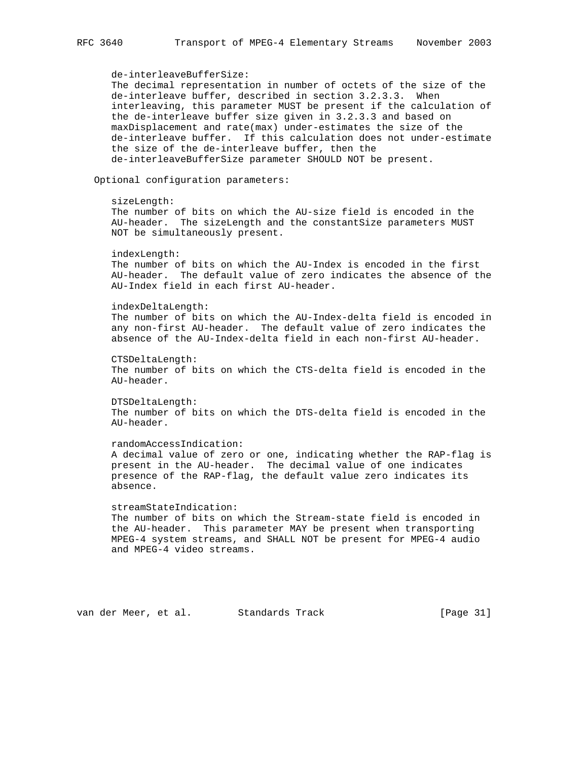de-interleaveBufferSize: The decimal representation in number of octets of the size of the de-interleave buffer, described in section 3.2.3.3. When interleaving, this parameter MUST be present if the calculation of the de-interleave buffer size given in 3.2.3.3 and based on maxDisplacement and rate(max) under-estimates the size of the de-interleave buffer. If this calculation does not under-estimate the size of the de-interleave buffer, then the de-interleaveBufferSize parameter SHOULD NOT be present. Optional configuration parameters: sizeLength: The number of bits on which the AU-size field is encoded in the AU-header. The sizeLength and the constantSize parameters MUST NOT be simultaneously present. indexLength: The number of bits on which the AU-Index is encoded in the first AU-header. The default value of zero indicates the absence of the AU-Index field in each first AU-header. indexDeltaLength: The number of bits on which the AU-Index-delta field is encoded in any non-first AU-header. The default value of zero indicates the absence of the AU-Index-delta field in each non-first AU-header. CTSDeltaLength: The number of bits on which the CTS-delta field is encoded in the AU-header. DTSDeltaLength: The number of bits on which the DTS-delta field is encoded in the AU-header. randomAccessIndication: A decimal value of zero or one, indicating whether the RAP-flag is present in the AU-header. The decimal value of one indicates presence of the RAP-flag, the default value zero indicates its absence. streamStateIndication: The number of bits on which the Stream-state field is encoded in the AU-header. This parameter MAY be present when transporting MPEG-4 system streams, and SHALL NOT be present for MPEG-4 audio and MPEG-4 video streams.

van der Meer, et al. Standards Track [Page 31]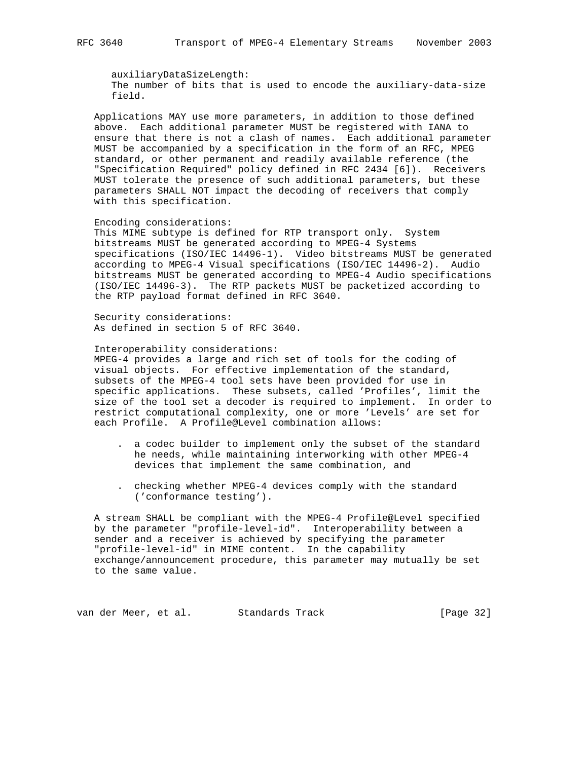auxiliaryDataSizeLength: The number of bits that is used to encode the auxiliary-data-size field.

 Applications MAY use more parameters, in addition to those defined above. Each additional parameter MUST be registered with IANA to ensure that there is not a clash of names. Each additional parameter MUST be accompanied by a specification in the form of an RFC, MPEG standard, or other permanent and readily available reference (the "Specification Required" policy defined in RFC 2434 [6]). Receivers MUST tolerate the presence of such additional parameters, but these parameters SHALL NOT impact the decoding of receivers that comply with this specification.

#### Encoding considerations:

 This MIME subtype is defined for RTP transport only. System bitstreams MUST be generated according to MPEG-4 Systems specifications (ISO/IEC 14496-1). Video bitstreams MUST be generated according to MPEG-4 Visual specifications (ISO/IEC 14496-2). Audio bitstreams MUST be generated according to MPEG-4 Audio specifications (ISO/IEC 14496-3). The RTP packets MUST be packetized according to the RTP payload format defined in RFC 3640.

 Security considerations: As defined in section 5 of RFC 3640.

#### Interoperability considerations:

 MPEG-4 provides a large and rich set of tools for the coding of visual objects. For effective implementation of the standard, subsets of the MPEG-4 tool sets have been provided for use in specific applications. These subsets, called 'Profiles', limit the size of the tool set a decoder is required to implement. In order to restrict computational complexity, one or more 'Levels' are set for each Profile. A Profile@Level combination allows:

- . a codec builder to implement only the subset of the standard he needs, while maintaining interworking with other MPEG-4 devices that implement the same combination, and
- . checking whether MPEG-4 devices comply with the standard ('conformance testing').

 A stream SHALL be compliant with the MPEG-4 Profile@Level specified by the parameter "profile-level-id". Interoperability between a sender and a receiver is achieved by specifying the parameter "profile-level-id" in MIME content. In the capability exchange/announcement procedure, this parameter may mutually be set to the same value.

van der Meer, et al. Standards Track (Page 32)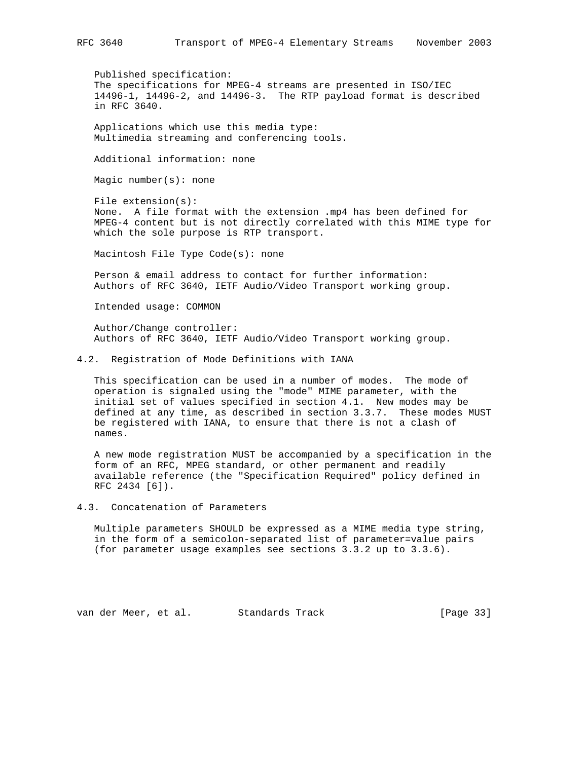Published specification: The specifications for MPEG-4 streams are presented in ISO/IEC 14496-1, 14496-2, and 14496-3. The RTP payload format is described in RFC 3640.

 Applications which use this media type: Multimedia streaming and conferencing tools.

Additional information: none

Magic number(s): none

 File extension(s): None. A file format with the extension .mp4 has been defined for MPEG-4 content but is not directly correlated with this MIME type for which the sole purpose is RTP transport.

Macintosh File Type Code(s): none

 Person & email address to contact for further information: Authors of RFC 3640, IETF Audio/Video Transport working group.

Intended usage: COMMON

 Author/Change controller: Authors of RFC 3640, IETF Audio/Video Transport working group.

4.2. Registration of Mode Definitions with IANA

 This specification can be used in a number of modes. The mode of operation is signaled using the "mode" MIME parameter, with the initial set of values specified in section 4.1. New modes may be defined at any time, as described in section 3.3.7. These modes MUST be registered with IANA, to ensure that there is not a clash of names.

 A new mode registration MUST be accompanied by a specification in the form of an RFC, MPEG standard, or other permanent and readily available reference (the "Specification Required" policy defined in RFC 2434 [6]).

4.3. Concatenation of Parameters

 Multiple parameters SHOULD be expressed as a MIME media type string, in the form of a semicolon-separated list of parameter=value pairs (for parameter usage examples see sections 3.3.2 up to 3.3.6).

van der Meer, et al. Standards Track [Page 33]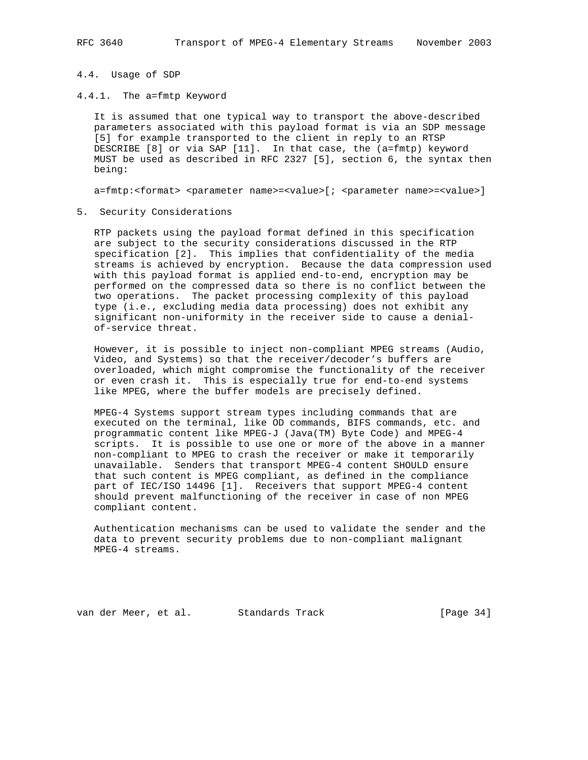### 4.4. Usage of SDP

4.4.1. The a=fmtp Keyword

 It is assumed that one typical way to transport the above-described parameters associated with this payload format is via an SDP message [5] for example transported to the client in reply to an RTSP DESCRIBE [8] or via SAP [11]. In that case, the (a=fmtp) keyword MUST be used as described in RFC 2327 [5], section 6, the syntax then being:

a=fmtp:<format> <parameter name>=<value>[; <parameter name>=<value>]

5. Security Considerations

 RTP packets using the payload format defined in this specification are subject to the security considerations discussed in the RTP specification [2]. This implies that confidentiality of the media streams is achieved by encryption. Because the data compression used with this payload format is applied end-to-end, encryption may be performed on the compressed data so there is no conflict between the two operations. The packet processing complexity of this payload type (i.e., excluding media data processing) does not exhibit any significant non-uniformity in the receiver side to cause a denial of-service threat.

 However, it is possible to inject non-compliant MPEG streams (Audio, Video, and Systems) so that the receiver/decoder's buffers are overloaded, which might compromise the functionality of the receiver or even crash it. This is especially true for end-to-end systems like MPEG, where the buffer models are precisely defined.

 MPEG-4 Systems support stream types including commands that are executed on the terminal, like OD commands, BIFS commands, etc. and programmatic content like MPEG-J (Java(TM) Byte Code) and MPEG-4 scripts. It is possible to use one or more of the above in a manner non-compliant to MPEG to crash the receiver or make it temporarily unavailable. Senders that transport MPEG-4 content SHOULD ensure that such content is MPEG compliant, as defined in the compliance part of IEC/ISO 14496 [1]. Receivers that support MPEG-4 content should prevent malfunctioning of the receiver in case of non MPEG compliant content.

 Authentication mechanisms can be used to validate the sender and the data to prevent security problems due to non-compliant malignant MPEG-4 streams.

van der Meer, et al. Standards Track [Page 34]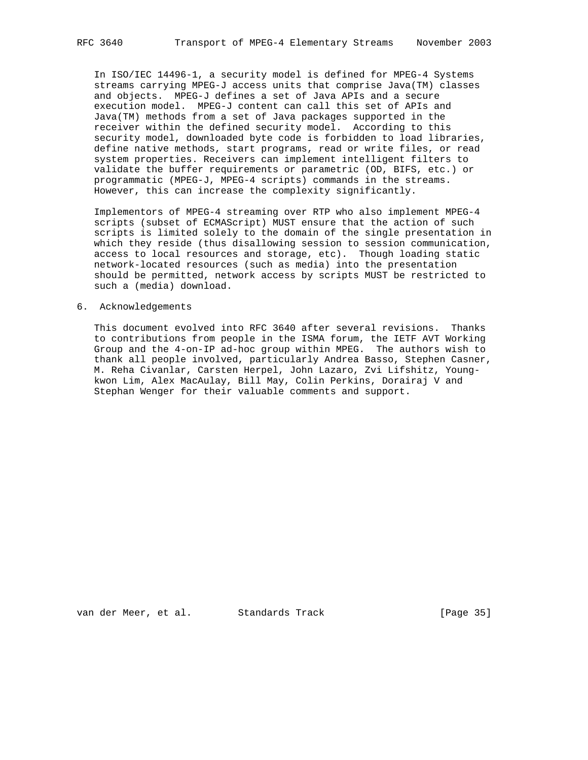In ISO/IEC 14496-1, a security model is defined for MPEG-4 Systems streams carrying MPEG-J access units that comprise Java(TM) classes and objects. MPEG-J defines a set of Java APIs and a secure execution model. MPEG-J content can call this set of APIs and Java(TM) methods from a set of Java packages supported in the receiver within the defined security model. According to this security model, downloaded byte code is forbidden to load libraries, define native methods, start programs, read or write files, or read system properties. Receivers can implement intelligent filters to validate the buffer requirements or parametric (OD, BIFS, etc.) or programmatic (MPEG-J, MPEG-4 scripts) commands in the streams. However, this can increase the complexity significantly.

 Implementors of MPEG-4 streaming over RTP who also implement MPEG-4 scripts (subset of ECMAScript) MUST ensure that the action of such scripts is limited solely to the domain of the single presentation in which they reside (thus disallowing session to session communication, access to local resources and storage, etc). Though loading static network-located resources (such as media) into the presentation should be permitted, network access by scripts MUST be restricted to such a (media) download.

#### 6. Acknowledgements

 This document evolved into RFC 3640 after several revisions. Thanks to contributions from people in the ISMA forum, the IETF AVT Working Group and the 4-on-IP ad-hoc group within MPEG. The authors wish to thank all people involved, particularly Andrea Basso, Stephen Casner, M. Reha Civanlar, Carsten Herpel, John Lazaro, Zvi Lifshitz, Young kwon Lim, Alex MacAulay, Bill May, Colin Perkins, Dorairaj V and Stephan Wenger for their valuable comments and support.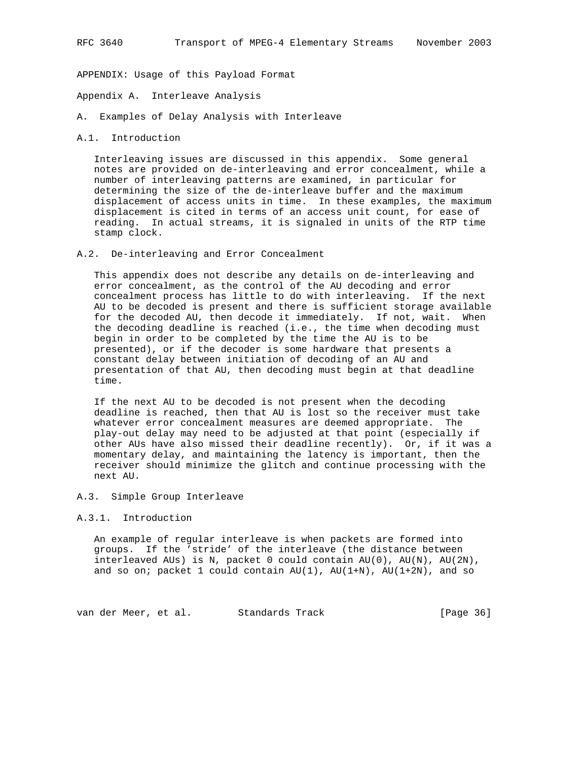APPENDIX: Usage of this Payload Format

Appendix A. Interleave Analysis

A. Examples of Delay Analysis with Interleave

#### A.1. Introduction

 Interleaving issues are discussed in this appendix. Some general notes are provided on de-interleaving and error concealment, while a number of interleaving patterns are examined, in particular for determining the size of the de-interleave buffer and the maximum displacement of access units in time. In these examples, the maximum displacement is cited in terms of an access unit count, for ease of reading. In actual streams, it is signaled in units of the RTP time stamp clock.

#### A.2. De-interleaving and Error Concealment

 This appendix does not describe any details on de-interleaving and error concealment, as the control of the AU decoding and error concealment process has little to do with interleaving. If the next AU to be decoded is present and there is sufficient storage available for the decoded AU, then decode it immediately. If not, wait. When the decoding deadline is reached (i.e., the time when decoding must begin in order to be completed by the time the AU is to be presented), or if the decoder is some hardware that presents a constant delay between initiation of decoding of an AU and presentation of that AU, then decoding must begin at that deadline time.

 If the next AU to be decoded is not present when the decoding deadline is reached, then that AU is lost so the receiver must take whatever error concealment measures are deemed appropriate. The play-out delay may need to be adjusted at that point (especially if other AUs have also missed their deadline recently). Or, if it was a momentary delay, and maintaining the latency is important, then the receiver should minimize the glitch and continue processing with the next AU.

## A.3. Simple Group Interleave

#### A.3.1. Introduction

 An example of regular interleave is when packets are formed into groups. If the 'stride' of the interleave (the distance between interleaved AUs) is N, packet 0 could contain AU(0), AU(N), AU(2N), and so on; packet 1 could contain  $AU(1)$ ,  $AU(1+N)$ ,  $AU(1+2N)$ , and so

van der Meer, et al. Standards Track [Page 36]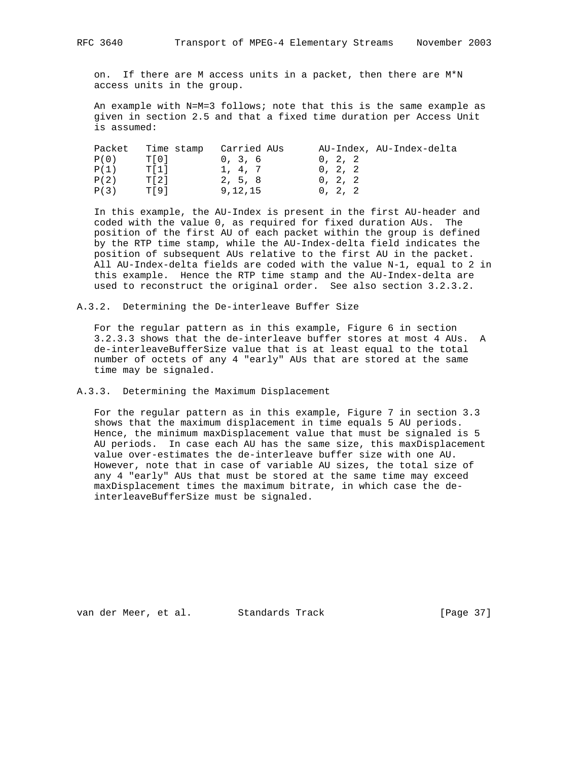on. If there are M access units in a packet, then there are M\*N access units in the group.

 An example with N=M=3 follows; note that this is the same example as given in section 2.5 and that a fixed time duration per Access Unit is assumed:

| Packet | Time stamp | Carried AUs |         | AU-Index, AU-Index-delta |
|--------|------------|-------------|---------|--------------------------|
| P(0)   | T[0]       | 0, 3, 6     | 0, 2, 2 |                          |
| P(1)   | T[1]       | 1, 4, 7     | 0, 2, 2 |                          |
| P(2)   | T[2]       | 2, 5, 8     | 0, 2, 2 |                          |
| P(3)   | T[9]       | 9,12,15     | 0, 2, 2 |                          |
|        |            |             |         |                          |

 In this example, the AU-Index is present in the first AU-header and coded with the value 0, as required for fixed duration AUs. The position of the first AU of each packet within the group is defined by the RTP time stamp, while the AU-Index-delta field indicates the position of subsequent AUs relative to the first AU in the packet. All AU-Index-delta fields are coded with the value N-1, equal to 2 in this example. Hence the RTP time stamp and the AU-Index-delta are used to reconstruct the original order. See also section 3.2.3.2.

A.3.2. Determining the De-interleave Buffer Size

 For the regular pattern as in this example, Figure 6 in section 3.2.3.3 shows that the de-interleave buffer stores at most 4 AUs. A de-interleaveBufferSize value that is at least equal to the total number of octets of any 4 "early" AUs that are stored at the same time may be signaled.

A.3.3. Determining the Maximum Displacement

 For the regular pattern as in this example, Figure 7 in section 3.3 shows that the maximum displacement in time equals 5 AU periods. Hence, the minimum maxDisplacement value that must be signaled is 5 AU periods. In case each AU has the same size, this maxDisplacement value over-estimates the de-interleave buffer size with one AU. However, note that in case of variable AU sizes, the total size of any 4 "early" AUs that must be stored at the same time may exceed maxDisplacement times the maximum bitrate, in which case the de interleaveBufferSize must be signaled.

van der Meer, et al. Standards Track [Page 37]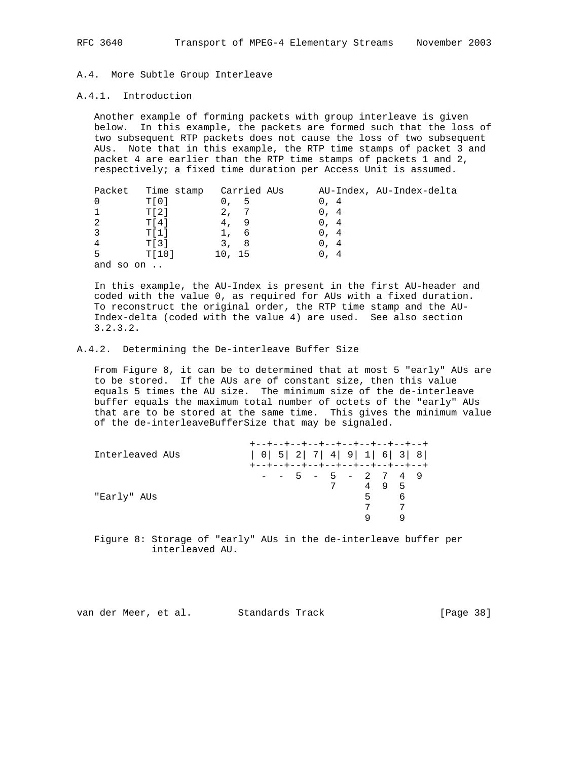# A.4. More Subtle Group Interleave

## A.4.1. Introduction

 Another example of forming packets with group interleave is given below. In this example, the packets are formed such that the loss of two subsequent RTP packets does not cause the loss of two subsequent AUs. Note that in this example, the RTP time stamps of packet 3 and packet 4 are earlier than the RTP time stamps of packets 1 and 2, respectively; a fixed time duration per Access Unit is assumed.

|               | Packet         | Time stamp | Carried AUs |      | AU-Index, AU-Index-delta |
|---------------|----------------|------------|-------------|------|--------------------------|
|               | T[0]           | 0, 5       |             | 0.4  |                          |
|               | TI21           | 2.7        |             | 0.4  |                          |
| $\mathcal{L}$ | T[4]           | 4.         | - 9         | 0.4  |                          |
|               | T[1]           |            | - 6         | 0.4  |                          |
|               | TI31           | 3, 8       |             | 0, 4 |                          |
| 5             | TI01           | 10, 15     |             | 0.4  |                          |
| and           | so on $\ldots$ |            |             |      |                          |

 In this example, the AU-Index is present in the first AU-header and coded with the value 0, as required for AUs with a fixed duration. To reconstruct the original order, the RTP time stamp and the AU- Index-delta (coded with the value 4) are used. See also section 3.2.3.2.

## A.4.2. Determining the De-interleave Buffer Size

 From Figure 8, it can be to determined that at most 5 "early" AUs are to be stored. If the AUs are of constant size, then this value equals 5 times the AU size. The minimum size of the de-interleave buffer equals the maximum total number of octets of the "early" AUs that are to be stored at the same time. This gives the minimum value of the de-interleaveBufferSize that may be signaled.

| Interleaved AUs |  |  |                 |  | +--+--+--+--+--+--+--+--+--+--+<br>$  0   5   2   7   4   9   1   6   3   8  $<br>+--+--+--+--+--+--+--+--+--+--+ |   |  |
|-----------------|--|--|-----------------|--|-------------------------------------------------------------------------------------------------------------------|---|--|
| "Early" AUs     |  |  | $7\overline{ }$ |  | $-$ - 5 - 5 - 2 7 4 9<br>495<br>$5^{\circ}$                                                                       | 6 |  |

 Figure 8: Storage of "early" AUs in the de-interleave buffer per interleaved AU.

van der Meer, et al. Standards Track [Page 38]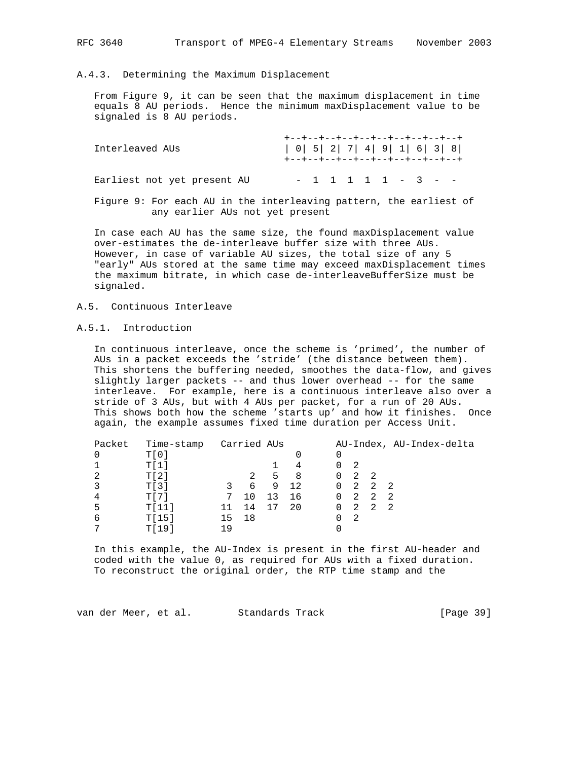# A.4.3. Determining the Maximum Displacement

 From Figure 9, it can be seen that the maximum displacement in time equals 8 AU periods. Hence the minimum maxDisplacement value to be signaled is 8 AU periods.

| Interleaved AUs             | +--+--+--+--+--+--+--+--+--+--+-<br>$  0   5   2   7   4   9   1   6   3   8  $<br>+--+--+--+--+--+--+--+--+--+--+ |
|-----------------------------|--------------------------------------------------------------------------------------------------------------------|
| Earliest not yet present AU | $-1$ 1 1 1 1 - 3 - -                                                                                               |
|                             | Figure 9: For each AU in the interleaving pattern, the earliest of                                                 |

any earlier AUs not yet present

 In case each AU has the same size, the found maxDisplacement value over-estimates the de-interleave buffer size with three AUs. However, in case of variable AU sizes, the total size of any 5 "early" AUs stored at the same time may exceed maxDisplacement times the maximum bitrate, in which case de-interleaveBufferSize must be signaled.

#### A.5. Continuous Interleave

# A.5.1. Introduction

 In continuous interleave, once the scheme is 'primed', the number of AUs in a packet exceeds the 'stride' (the distance between them). This shortens the buffering needed, smoothes the data-flow, and gives slightly larger packets -- and thus lower overhead -- for the same interleave. For example, here is a continuous interleave also over a stride of 3 AUs, but with 4 AUs per packet, for a run of 20 AUs. This shows both how the scheme 'starts up' and how it finishes. Once again, the example assumes fixed time duration per Access Unit.

| Packet | Time-stamp Carried AUs |       |    |    |     |                   |     |                 | AU-Index, AU-Index-delta |
|--------|------------------------|-------|----|----|-----|-------------------|-----|-----------------|--------------------------|
|        | $TI$ 0 1               |       |    |    |     | 0                 |     |                 |                          |
|        | T[1]                   |       |    |    | 4   | 0                 | 2   |                 |                          |
| 2      | T[2]                   |       | 2  | 5  | - 8 | $0\quad 2\quad 2$ |     |                 |                          |
|        | TI31                   |       | 6  | 9  | 12  |                   |     | $0 \t2 \t2 \t2$ |                          |
|        | T[7]                   | 7     | 10 | 13 | 16  | $0\quad 2\quad 2$ |     |                 | $\overline{2}$           |
| 5      | T[11]                  |       | 14 | 17 | 20  | $0\quad 2$        |     | $\overline{2}$  | - 2.                     |
| 6      | T[15]                  | 15 18 |    |    |     |                   | -2. |                 |                          |
|        | T[19]                  | 1 Q   |    |    |     |                   |     |                 |                          |

 In this example, the AU-Index is present in the first AU-header and coded with the value 0, as required for AUs with a fixed duration. To reconstruct the original order, the RTP time stamp and the

van der Meer, et al. Standards Track [Page 39]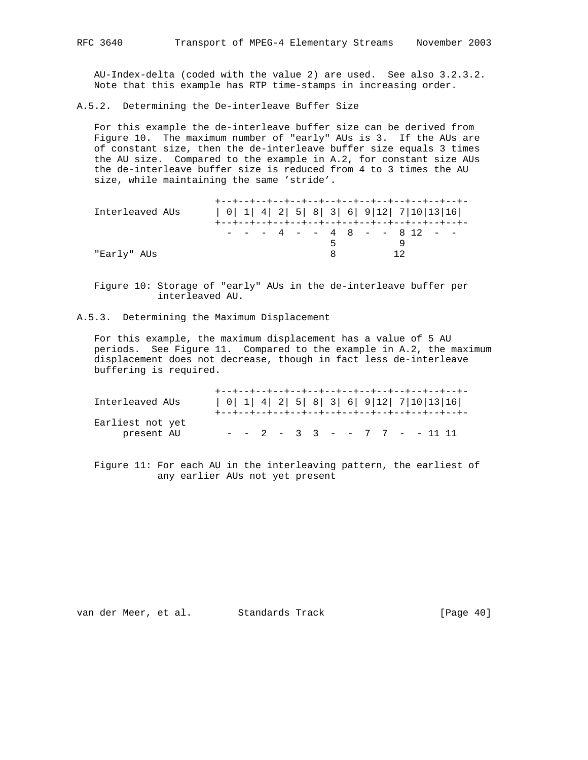AU-Index-delta (coded with the value 2) are used. See also 3.2.3.2. Note that this example has RTP time-stamps in increasing order.

A.5.2. Determining the De-interleave Buffer Size

 For this example the de-interleave buffer size can be derived from Figure 10. The maximum number of "early" AUs is 3. If the AUs are of constant size, then the de-interleave buffer size equals 3 times the AU size. Compared to the example in A.2, for constant size AUs the de-interleave buffer size is reduced from 4 to 3 times the AU size, while maintaining the same 'stride'.

| Interleaved AUs | $  0   1   4   2   5   8   3   6   9   12   7   10   13   16  $ |
|-----------------|-----------------------------------------------------------------|
| "Early" AUs     | $-$ - - 4 - - 4 8 - - 8 12 - -<br>$5 -$<br>12                   |

 Figure 10: Storage of "early" AUs in the de-interleave buffer per interleaved AU.

A.5.3. Determining the Maximum Displacement

 For this example, the maximum displacement has a value of 5 AU periods. See Figure 11. Compared to the example in A.2, the maximum displacement does not decrease, though in fact less de-interleave buffering is required.

| Interleaved AUs                | $  0   1   4   2   5   8   3   6   9   12   7   10   13   16  $ |
|--------------------------------|-----------------------------------------------------------------|
| Earliest not yet<br>present AU | $ -$ 2 $-$ 3 3 $ -$ 7 7 $ -$ 11 11                              |

 Figure 11: For each AU in the interleaving pattern, the earliest of any earlier AUs not yet present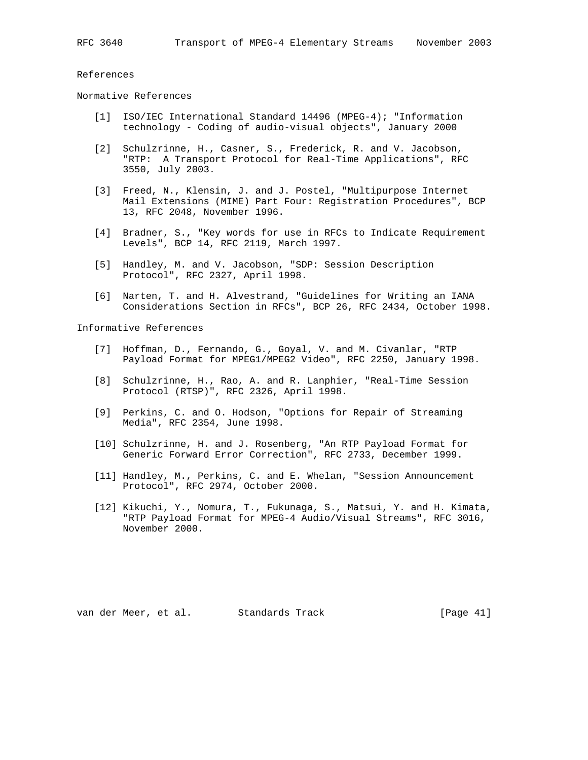References

Normative References

- [1] ISO/IEC International Standard 14496 (MPEG-4); "Information technology - Coding of audio-visual objects", January 2000
- [2] Schulzrinne, H., Casner, S., Frederick, R. and V. Jacobson, "RTP: A Transport Protocol for Real-Time Applications", RFC 3550, July 2003.
- [3] Freed, N., Klensin, J. and J. Postel, "Multipurpose Internet Mail Extensions (MIME) Part Four: Registration Procedures", BCP 13, RFC 2048, November 1996.
- [4] Bradner, S., "Key words for use in RFCs to Indicate Requirement Levels", BCP 14, RFC 2119, March 1997.
- [5] Handley, M. and V. Jacobson, "SDP: Session Description Protocol", RFC 2327, April 1998.
- [6] Narten, T. and H. Alvestrand, "Guidelines for Writing an IANA Considerations Section in RFCs", BCP 26, RFC 2434, October 1998.

Informative References

- [7] Hoffman, D., Fernando, G., Goyal, V. and M. Civanlar, "RTP Payload Format for MPEG1/MPEG2 Video", RFC 2250, January 1998.
- [8] Schulzrinne, H., Rao, A. and R. Lanphier, "Real-Time Session Protocol (RTSP)", RFC 2326, April 1998.
- [9] Perkins, C. and O. Hodson, "Options for Repair of Streaming Media", RFC 2354, June 1998.
- [10] Schulzrinne, H. and J. Rosenberg, "An RTP Payload Format for Generic Forward Error Correction", RFC 2733, December 1999.
- [11] Handley, M., Perkins, C. and E. Whelan, "Session Announcement Protocol", RFC 2974, October 2000.
- [12] Kikuchi, Y., Nomura, T., Fukunaga, S., Matsui, Y. and H. Kimata, "RTP Payload Format for MPEG-4 Audio/Visual Streams", RFC 3016, November 2000.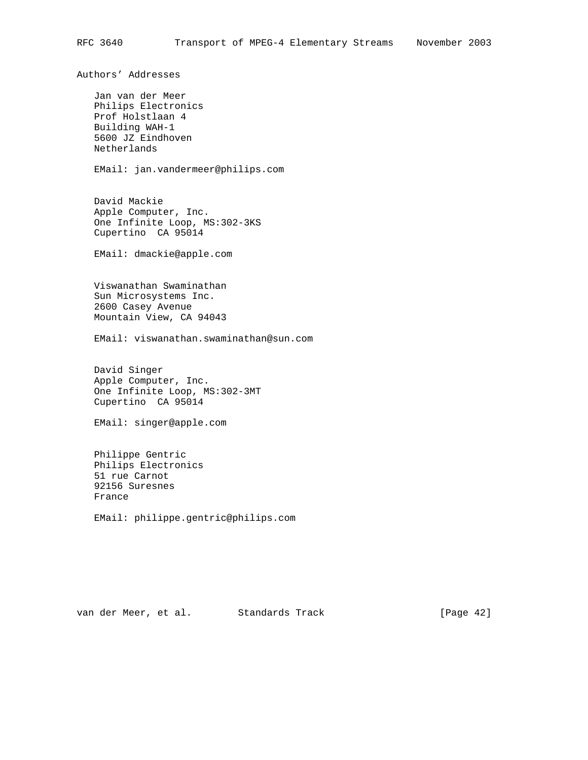Authors' Addresses Jan van der Meer Philips Electronics Prof Holstlaan 4 Building WAH-1 5600 JZ Eindhoven Netherlands EMail: jan.vandermeer@philips.com David Mackie Apple Computer, Inc. One Infinite Loop, MS:302-3KS Cupertino CA 95014 EMail: dmackie@apple.com Viswanathan Swaminathan Sun Microsystems Inc. 2600 Casey Avenue Mountain View, CA 94043 EMail: viswanathan.swaminathan@sun.com David Singer Apple Computer, Inc. One Infinite Loop, MS:302-3MT Cupertino CA 95014 EMail: singer@apple.com Philippe Gentric Philips Electronics 51 rue Carnot 92156 Suresnes France EMail: philippe.gentric@philips.com

van der Meer, et al. Standards Track [Page 42]